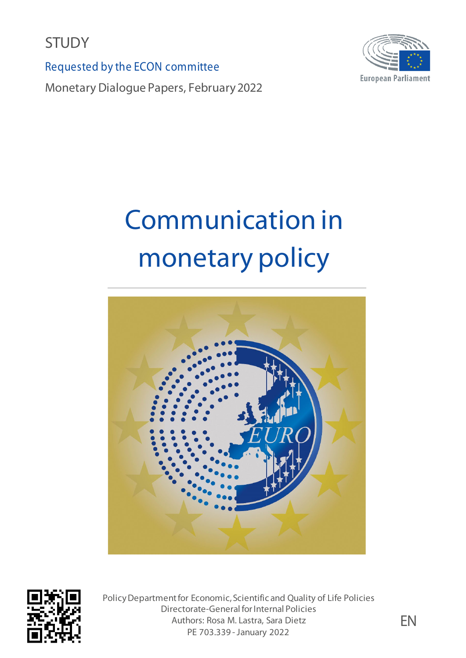**STUDY** 

Requested by the ECON committee

Monetary Dialogue Papers, February 2022



# Communication in monetary policy





Policy Department for Economic, Scientific and Quality of Life Policies Directorate-General for Internal Policies Authors: Rosa M. Lastra, Sara Dietz PE 703.339 - January 2022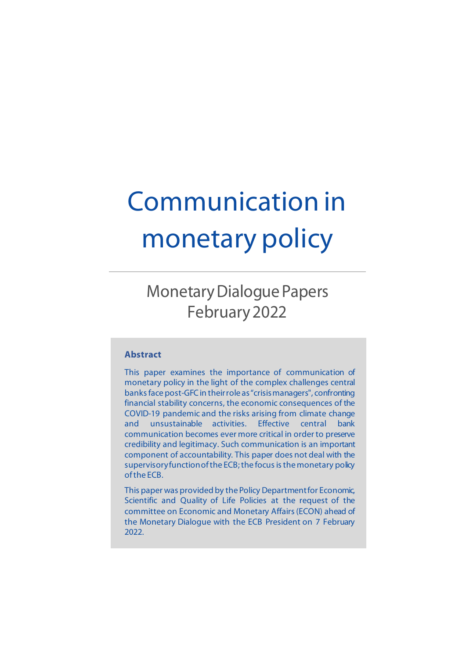# Communication in monetary policy

# Monetary Dialogue Papers February2022

#### **Abstract**

This paper examines the importance of communication of monetary policy in the light of the complex challenges central banks face post-GFCin their role as "crisis managers", confronting financial stability concerns, the economic consequences of the COVID-19 pandemic and the risks arising from climate change and unsustainable activities. Effective central bank communication becomes ever more critical in order to preserve credibility and legitimacy. Such communication is an important component of accountability. This paper does not deal with the supervisory function of the ECB; the focus is the monetary policy of the ECB.

This paper was provided by the Policy Departmentfor Economic, Scientific and Quality of Life Policies at the request of the committee on Economic and Monetary Affairs (ECON) ahead of the Monetary Dialogue with the ECB President on 7 February 2022.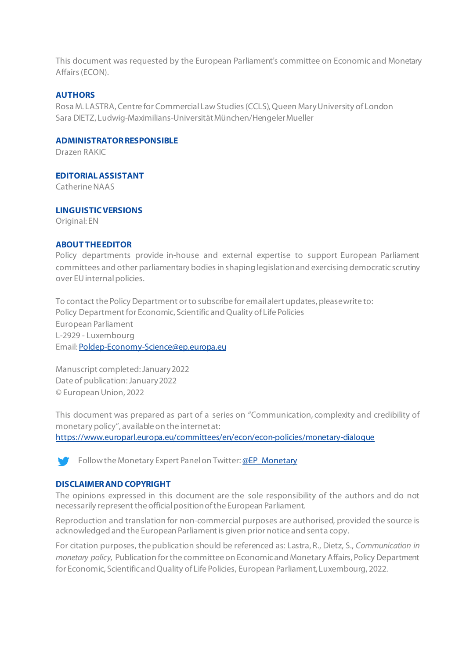This document was requested by the European Parliament's committee on Economic and Monetary Affairs (ECON).

#### **AUTHORS**

Rosa M. LASTRA, Centre for Commercial Law Studies (CCLS), Queen Mary University of London Sara DIETZ, Ludwig-Maximilians-Universität München/Hengeler Mueller

#### **ADMINISTRATORRESPONSIBLE**

Drazen RAKIC

#### **EDITORIAL ASSISTANT**

Catherine NAAS

#### **LINGUISTIC VERSIONS**

Original: EN

#### **ABOUT THE EDITOR**

Policy departments provide in-house and external expertise to support European Parliament committees and other parliamentary bodies in shaping legislation and exercising democratic scrutiny over EU internal policies.

To contact the Policy Department or to subscribe for email alert updates, please write to: Policy Department for Economic, Scientific and Quality of Life Policies European Parliament L-2929 - Luxembourg Email[: Poldep-Economy-Science@ep.europa.eu](mailto:Poldep-Economy-Science@ep.europa.eu)

Manuscript completed:January2022 Date of publication: January2022 © European Union, 2022

This document was prepared as part of a series on "Communication, complexity and credibility of monetary policy", available on the internetat:

<https://www.europarl.europa.eu/committees/en/econ/econ-policies/monetary-dialogue>



#### **DISCLAIMERAND COPYRIGHT**

The opinions expressed in this document are the sole responsibility of the authors and do not necessarily represent the official position of the European Parliament.

Reproduction and translation for non-commercial purposes are authorised, provided the source is acknowledged and the European Parliament is given prior notice and sent a copy.

For citation purposes, the publication should be referenced as: Lastra, R., Dietz, S., *Communication in monetary policy,* Publication for the committee on Economic and Monetary Affairs, Policy Department for Economic, Scientific and Quality of Life Policies, European Parliament, Luxembourg, 2022.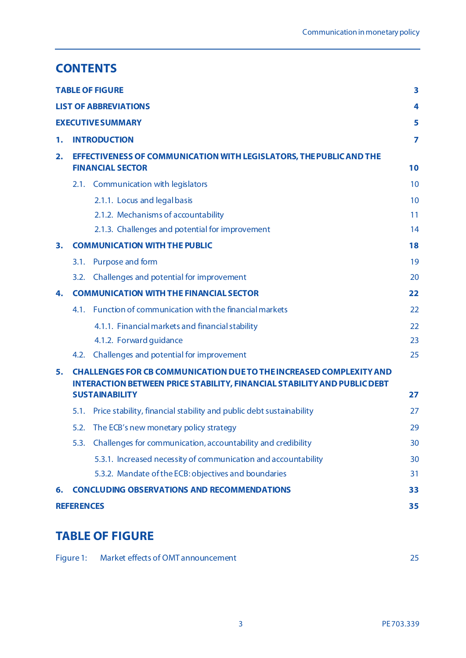# **CONTENTS**

|                               |                                                                                                                                                               | <b>TABLE OF FIGURE</b>                                              | 3  |  |
|-------------------------------|---------------------------------------------------------------------------------------------------------------------------------------------------------------|---------------------------------------------------------------------|----|--|
| <b>LIST OF ABBREVIATIONS</b>  |                                                                                                                                                               |                                                                     |    |  |
| <b>EXECUTIVE SUMMARY</b><br>5 |                                                                                                                                                               |                                                                     |    |  |
| 1.                            | <b>INTRODUCTION</b>                                                                                                                                           |                                                                     |    |  |
| 2.                            | EFFECTIVENESS OF COMMUNICATION WITH LEGISLATORS, THE PUBLIC AND THE<br><b>FINANCIAL SECTOR</b>                                                                |                                                                     |    |  |
|                               |                                                                                                                                                               | 2.1. Communication with legislators                                 | 10 |  |
|                               |                                                                                                                                                               | 2.1.1. Locus and legal basis                                        | 10 |  |
|                               |                                                                                                                                                               | 2.1.2. Mechanisms of accountability                                 | 11 |  |
|                               |                                                                                                                                                               | 2.1.3. Challenges and potential for improvement                     | 14 |  |
| 3.                            | <b>COMMUNICATION WITH THE PUBLIC</b>                                                                                                                          |                                                                     |    |  |
|                               | 3.1.                                                                                                                                                          | Purpose and form                                                    | 19 |  |
|                               | 3.2.                                                                                                                                                          | Challenges and potential for improvement                            | 20 |  |
| 4.                            | <b>COMMUNICATION WITH THE FINANCIAL SECTOR</b>                                                                                                                |                                                                     |    |  |
|                               | 4.1.                                                                                                                                                          | Function of communication with the financial markets                | 22 |  |
|                               |                                                                                                                                                               | 4.1.1. Financial markets and financial stability                    | 22 |  |
|                               |                                                                                                                                                               | 4.1.2. Forward guidance                                             | 23 |  |
|                               | 4.2.                                                                                                                                                          | Challenges and potential for improvement                            | 25 |  |
| 5.                            | <b>CHALLENGES FOR CB COMMUNICATION DUE TO THE INCREASED COMPLEXITY AND</b><br><b>INTERACTION BETWEEN PRICE STABILITY, FINANCIAL STABILITY AND PUBLIC DEBT</b> |                                                                     |    |  |
|                               |                                                                                                                                                               | <b>SUSTAINABILITY</b>                                               | 27 |  |
|                               | 5.1.                                                                                                                                                          | Price stability, financial stability and public debt sustainability | 27 |  |
|                               |                                                                                                                                                               | 5.2. The ECB's new monetary policy strategy                         | 29 |  |
|                               | 5.3.                                                                                                                                                          | Challenges for communication, accountability and credibility        | 30 |  |
|                               |                                                                                                                                                               | 5.3.1. Increased necessity of communication and accountability      | 30 |  |
|                               |                                                                                                                                                               | 5.3.2. Mandate of the ECB: objectives and boundaries                | 31 |  |
| 6.                            | <b>CONCLUDING OBSERVATIONS AND RECOMMENDATIONS</b>                                                                                                            |                                                                     |    |  |
| <b>REFERENCES</b><br>35       |                                                                                                                                                               |                                                                     |    |  |

# <span id="page-4-0"></span>**TABLE OF FIGURE**

|  | Figure 1: Market effects of OMT announcement |  |
|--|----------------------------------------------|--|
|--|----------------------------------------------|--|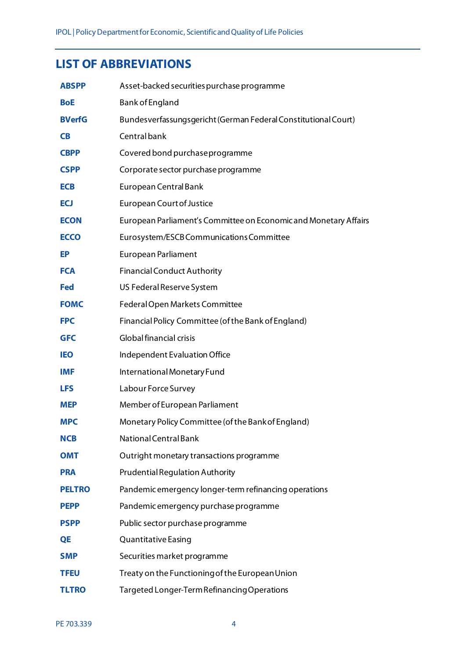# <span id="page-5-0"></span>**LIST OF ABBREVIATIONS**

| <b>ABSPP</b>  | Asset-backed securities purchase programme                       |
|---------------|------------------------------------------------------------------|
| <b>BoE</b>    | <b>Bank of England</b>                                           |
| <b>BVerfG</b> | Bundesverfassungsgericht (German Federal Constitutional Court)   |
| <b>CB</b>     | Central bank                                                     |
| <b>CBPP</b>   | Covered bond purchase programme                                  |
| <b>CSPP</b>   | Corporate sector purchase programme                              |
| <b>ECB</b>    | European Central Bank                                            |
| ECJ           | <b>European Court of Justice</b>                                 |
| <b>ECON</b>   | European Parliament's Committee on Economic and Monetary Affairs |
| <b>ECCO</b>   | Eurosystem/ESCB Communications Committee                         |
| EP            | European Parliament                                              |
| <b>FCA</b>    | <b>Financial Conduct Authority</b>                               |
| <b>Fed</b>    | US Federal Reserve System                                        |
| <b>FOMC</b>   | Federal Open Markets Committee                                   |
| <b>FPC</b>    | Financial Policy Committee (of the Bank of England)              |
| <b>GFC</b>    | Global financial crisis                                          |
| <b>IEO</b>    | Independent Evaluation Office                                    |
| <b>IMF</b>    | International Monetary Fund                                      |
| <b>LFS</b>    | Labour Force Survey                                              |
| <b>MEP</b>    | Member of European Parliament                                    |
| <b>MPC</b>    | Monetary Policy Committee (of the Bank of England)               |
| <b>NCB</b>    | National Central Bank                                            |
| <b>OMT</b>    | Outright monetary transactions programme                         |
| <b>PRA</b>    | <b>Prudential Regulation Authority</b>                           |
| <b>PELTRO</b> | Pandemic emergency longer-term refinancing operations            |
| <b>PEPP</b>   | Pandemic emergency purchase programme                            |
| <b>PSPP</b>   | Public sector purchase programme                                 |
| QE            | <b>Quantitative Easing</b>                                       |
| <b>SMP</b>    | Securities market programme                                      |
| <b>TFEU</b>   | Treaty on the Functioning of the European Union                  |
| <b>TLTRO</b>  | Targeted Longer-Term Refinancing Operations                      |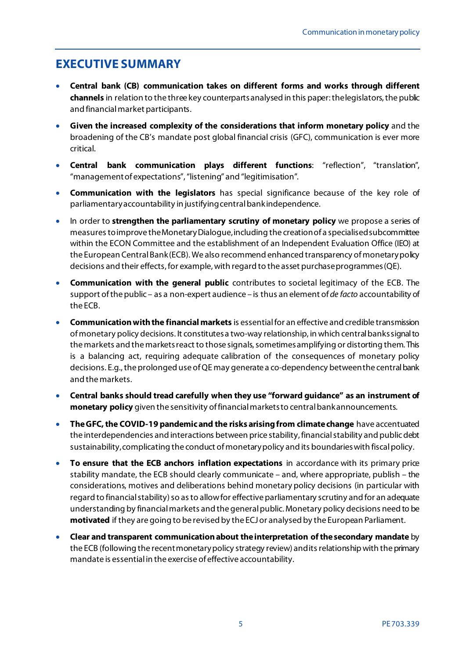# <span id="page-6-0"></span>**EXECUTIVE SUMMARY**

- **Central bank (CB) communication takes on different forms and works through different channels** in relation to the three key counterparts analysed in this paper: thelegislators, the public and financial market participants.
- **Given the increased complexity of the considerations that inform monetary policy** and the broadening of the CB's mandate post global financial crisis (GFC), communication is ever more critical.
- **Central bank communication plays different functions**: "reflection", "translation", "management of expectations","listening" and "legitimisation".
- **Communication with the legislators** has special significance because of the key role of parliamentary accountability in justifying central bank independence.
- In order to **strengthen the parliamentary scrutiny of monetary policy** we propose a series of measures to improve the Monetary Dialogue, including the creation of a specialised subcommittee within the ECON Committee and the establishment of an Independent Evaluation Office (IEO) at the European Central Bank (ECB). We also recommend enhanced transparency of monetary policy decisions and their effects, for example, with regard to the asset purchase programmes (QE).
- **Communication with the general public** contributes to societal legitimacy of the ECB. The support of the public – as a non-expert audience – is thus an element of *de facto* accountability of the ECB.
- **Communication with the financial markets** is essential for an effective and credible transmission of monetary policy decisions. It constitutes a two-way relationship, in which central banks signal to the markets and the markets react to those signals, sometimesamplifying or distorting them. This is a balancing act, requiring adequate calibration of the consequences of monetary policy decisions. E.g., the prolonged use of QE may generate a co-dependency between the central bank and the markets.
- **Central banks should tread carefully when they use "forward guidance" as an instrument of monetary policy** given the sensitivity of financial markets to central bank announcements.
- **The GFC, the COVID-19 pandemic and the risks arising from climate change** have accentuated the interdependencies and interactions between price stability, financial stability and public debt sustainability, complicating the conduct of monetary policy and its boundaries with fiscal policy.
- **To ensure that the ECB anchors inflation expectations** in accordance with its primary price stability mandate, the ECB should clearly communicate – and, where appropriate, publish – the considerations, motives and deliberations behind monetary policy decisions (in particular with regard to financial stability) so as to allow for effective parliamentary scrutiny and for an adequate understanding by financial markets and the general public. Monetary policy decisions need to be **motivated** if they are going to be revised by the ECJ or analysed by the European Parliament.
- **Clear and transparent communication about the interpretation of the secondary mandate** by the ECB (following the recent monetary policy strategy review) and its relationship with the primary mandate is essential in the exercise of effective accountability.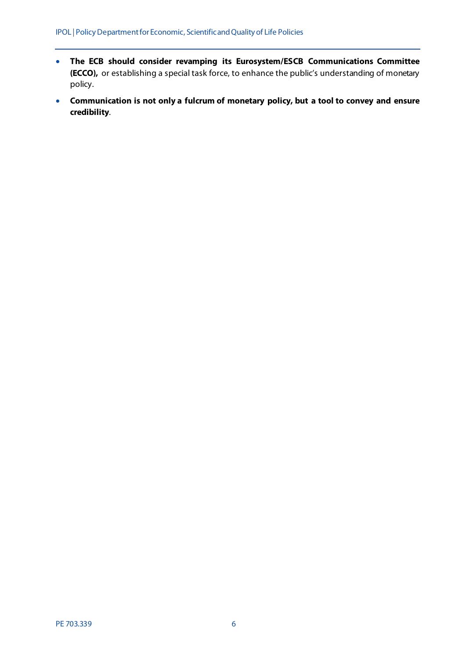- **The ECB should consider revamping its Eurosystem/ESCB Communications Committee (ECCO),** or establishing a special task force, to enhance the public's understanding of monetary policy.
- **Communication is not only a fulcrum of monetary policy, but a tool to convey and ensure credibility**.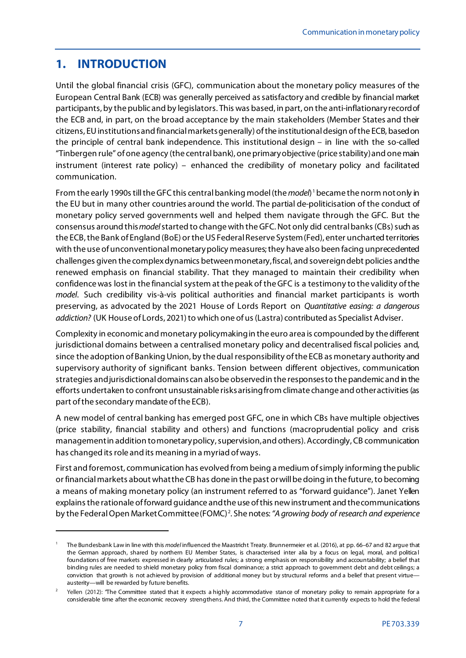# <span id="page-8-0"></span>**1. INTRODUCTION**

1

Until the global financial crisis (GFC), communication about the monetary policy measures of the European Central Bank (ECB) was generally perceived as satisfactory and credible by financial market participants, by the public and by legislators. This was based, in part, on the anti-inflationary record of the ECB and, in part, on the broad acceptance by the main stakeholders (Member States and their citizens, EU institutions and financial markets generally) of the institutional design of the ECB, based on the principle of central bank independence. This institutional design – in line with the so-called "Tinbergen rule" of one agency (the central bank), one primary objective (price stability) and one main instrument (interest rate policy) – enhanced the credibility of monetary policy and facilitated communication.

From the early 1990s till the GFC this central banking model (the *model*) [1](#page-8-1)became the norm not only in the EU but in many other countries around the world. The partial de-politicisation of the conduct of monetary policy served governments well and helped them navigate through the GFC. But the consensus around this *model* started to change with the GFC. Not only did central banks (CBs) such as the ECB, the Bank of England (BoE) or the US Federal Reserve System(Fed), enter uncharted territories with the use of unconventional monetary policy measures; they have also been facing unprecedented challenges given the complex dynamics between monetary, fiscal, and sovereign debt policies and the renewed emphasis on financial stability. That they managed to maintain their credibility when confidence was lost in the financial system at the peak of the GFC is a testimony to the validity of the *model*. Such credibility vis-à-vis political authorities and financial market participants is worth preserving, as advocated by the 2021 House of Lords Report on *Quantitative easing: a dangerous addiction?* (UK House of Lords, 2021) to which one of us (Lastra) contributed as Specialist Adviser.

Complexity in economic and monetary policymaking in the euro area is compounded by the different jurisdictional domains between a centralised monetary policy and decentralised fiscal policies and, since the adoption of Banking Union, by the dual responsibility of the ECB as monetary authority and supervisory authority of significant banks. Tension between different objectives, communication strategies and jurisdictional domains can also be observed in the responses to the pandemic and in the efforts undertaken to confront unsustainable risks arising from climate change and other activities (as part of the secondary mandate of the ECB).

A new model of central banking has emerged post GFC, one in which CBs have multiple objectives (price stability, financial stability and others) and functions (macroprudential policy and crisis management in addition to monetary policy, supervision, and others). Accordingly, CB communication has changed its role and its meaning in a myriad of ways.

First and foremost, communication has evolved from being a medium of simply informing the public or financial markets about what the CB has done in the past or will be doing in the future, to becoming a means of making monetary policy (an instrument referred to as "forward guidance"). Janet Yellen explains the rationale of forward guidance and the use of this new instrument and the communications by the Federal Open Market Committee (FOMC)<sup>[2](#page-8-2)</sup>. She notes: "A growing body of research and experience

<span id="page-8-1"></span><sup>1</sup> The Bundesbank Law in line with this *model* influenced the Maastricht Treaty. Brunnermeier et al. (2016), at pp. 66–67 and 82 argue that the German approach, shared by northern EU Member States, is characterised inter alia by a focus on legal, moral, and politica l foundations of free markets expressed in clearly articulated rules; a strong emphasis on responsibility and accountability; a belief that binding rules are needed to shield monetary policy from fiscal dominance; a strict approach to government debt and debt ceilings; a conviction that growth is not achieved by provision of additional money but by structural reforms and a belief that present virtue austerity—will be rewarded by future benefits.

<span id="page-8-2"></span>Yellen (2012): "The Committee stated that it expects a highly accommodative stance of monetary policy to remain appropriate for a considerable time after the economic recovery strengthens. And third, the Committee noted that it currently expects to hold the federal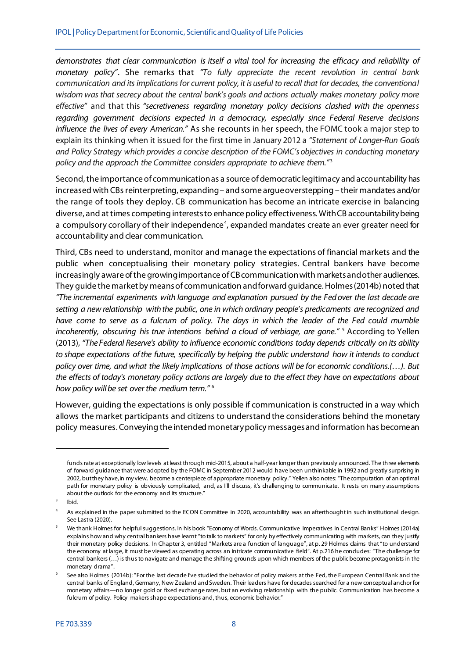*demonstrates that clear communication is itself a vital tool for increasing the efficacy and reliability of monetary policy"*. She remarks that *"To fully appreciate the recent revolution in central bank communication and its implications for current policy, it is useful to recall that for decades, the conventional wisdom was that secrecy about the central bank's goals and actions actually makes monetary policy more effective"* and that this *"secretiveness regarding monetary policy decisions clashed with the openness regarding government decisions expected in a democracy, especially since Federal Reserve decisions influence the lives of every American."* As she recounts in her speech, the FOMC took a major step to explain its thinking when it issued for the first time in January 2012 a *"Statement of Longer-Run Goals and Policy Strategy which provides a concise description of the FOMC's objectives in conducting monetary policy and the approach the Committee considers appropriate to achieve them.*"<sup>[3](#page-9-0)</sup>

Second, the importance of communication as a source of democratic legitimacy and accountability has increased with CBs reinterpreting, expanding – and some argue overstepping – their mandates and/or the range of tools they deploy. CB communication has become an intricate exercise in balancing diverse, and at times competing interests to enhance policy effectiveness. WithCB accountability being a compulsory corollary of their independence<sup>[4](#page-9-1)</sup>, expanded mandates create an ever greater need for accountability and clear communication.

Third, CBs need to understand, monitor and manage the expectations of financial markets and the public when conceptualising their monetary policy strategies. Central bankers have become increasingly aware of the growing importance of CB communication with markets and other audiences. They guide the market by means of communication and forward guidance. Holmes (2014b) noted that *"The incremental experiments with language and explanation pursued by the Fed over the last decade are setting a new relationship with the public, one in which ordinary people's predicaments are recognized and have come to serve as a fulcrum of policy. The days in which the leader of the Fed could mumble incoherently, obscuring his true intentions behind a cloud of verbiage, are gone."* [5](#page-9-2) According to Yellen (2013), *"The Federal Reserve's ability to influence economic conditions today depends critically on its ability to shape expectations of the future, specifically by helping the public understand how it intends to conduct policy over time, and what the likely implications of those actions will be for economic conditions.(…). But the effects of today's monetary policy actions are largely due to the effect they have on expectations about how policy will be set over the medium term."* [6](#page-9-3)

However, guiding the expectations is only possible if communication is constructed in a way which allows the market participants and citizens to understand the considerations behind the monetary policy measures. Conveying the intended monetary policy messages and information has become an

funds rate at exceptionally low levels at least through mid-2015, about a half-year longer than previously announced. The three elements of forward guidance that were adopted by the FOMC in September 2012 would have been unthinkable in 1992 and greatly surprising in 2002, but they have, in my view, become a centerpiece of appropriate monetary policy." Yellen also notes: "The computation of an optimal path for monetary policy is obviously complicated, and, as I'll discuss, it's challenging to communicate. It rests on many assumptions about the outlook for the economy and its structure."

lbid.

<span id="page-9-1"></span><span id="page-9-0"></span><sup>4</sup> As explained in the paper submitted to the ECON Committee in 2020, accountability was an afterthought in such institutional design. See Lastra (2020).

<span id="page-9-2"></span><sup>5</sup> We thank Holmes for helpful suggestions. In his book "Economy of Words. Communicative Imperatives in Central Banks" Holmes (2014a) explains how and why central bankers have learnt "to talk to markets" for only by effectively communicating with markets, can they justify their monetary policy decisions. In Chapter 3, entitled "Markets are a function of language", at p. 29 Holmes claims that "to understand the economy at large, it must be viewed as operating across an intricate communicative field". At p.216 he concludes: "The challenge for central bankers (…) is thus to navigate and manage the shifting grounds upon which members of the public become protagonists in the monetary drama".

<span id="page-9-3"></span><sup>6</sup> See also Holmes (2014b): "For the last decade I've studied the behavior of policy makers at the Fed, the European Central Bank and the central banks of England, Germany, New Zealand and Sweden. Their leaders have for decades searched for a new conceptual anchor for monetary affairs—no longer gold or fixed exchange rates, but an evolving relationship with the public. Communication has become a fulcrum of policy. Policy makers shape expectations and, thus, economic behavior."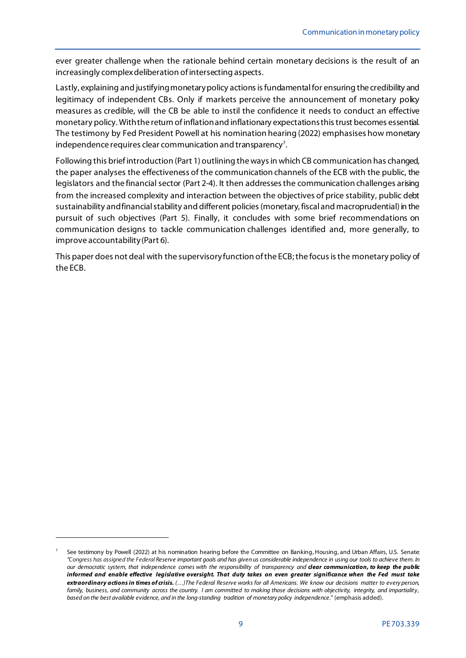ever greater challenge when the rationale behind certain monetary decisions is the result of an increasingly complex deliberation of intersecting aspects.

Lastly, explaining and justifying monetary policy actions is fundamental for ensuring the credibility and legitimacy of independent CBs. Only if markets perceive the announcement of monetary policy measures as credible, will the CB be able to instil the confidence it needs to conduct an effective monetary policy. With the return of inflationand inflationary expectations this trust becomes essential. The testimony by Fed President Powell at his nomination hearing (2022) emphasises how monetary independence requires clear communication and transparency<sup>[7](#page-10-0)</sup>.

Following this brief introduction (Part 1) outlining the ways in which CB communication has changed, the paper analyses the effectiveness of the communication channels of the ECB with the public, the legislators and the financial sector (Part 2-4). It then addresses the communication challenges arising from the increased complexity and interaction between the objectives of price stability, public debt sustainability and financial stability and different policies(monetary, fiscal and macroprudential) in the pursuit of such objectives (Part 5). Finally, it concludes with some brief recommendations on communication designs to tackle communication challenges identified and, more generally, to improve accountability(Part 6).

This paper does not deal with the supervisory function of the ECB; the focus is the monetary policy of the ECB.

<span id="page-10-0"></span><sup>7</sup> See testimony by Powell (2022) at his nomination hearing before the Committee on Banking, Housing, and Urban Affairs, U.S. Senate: *"Congress has assigned the Federal Reserve important goals and has given us considerable independence in using our tools to achieve them. In our democratic system, that independence comes with the responsibility of transparency and clear communication, to keep the public informed and enable effective legislative oversight. That duty takes on even greater significance when the Fed must take extraordinary actions in times of crisis. (…)The Federal Reserve works for all Americans. We know our decisions matter to every person,*  family, business, and community across the country. I am committed to making those decisions with objectivity, integrity, and impartiality, *based on the best available evidence, and in the long-standing tradition of monetary policy independence."* (emphasis added).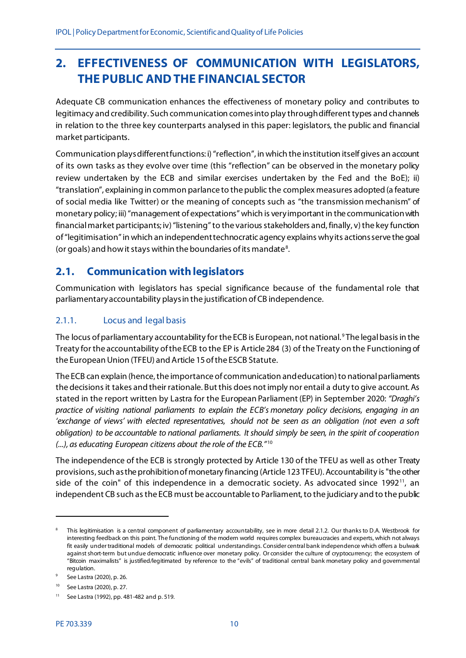# <span id="page-11-0"></span>**2. EFFECTIVENESS OF COMMUNICATION WITH LEGISLATORS, THE PUBLIC AND THE FINANCIAL SECTOR**

Adequate CB communication enhances the effectiveness of monetary policy and contributes to legitimacy and credibility. Such communication comes into play through different types and channels in relation to the three key counterparts analysed in this paper: legislators, the public and financial market participants.

Communication plays different functions: i) "reflection", in which the institution itself gives an account of its own tasks as they evolve over time (this "reflection" can be observed in the monetary policy review undertaken by the ECB and similar exercises undertaken by the Fed and the BoE); ii) "translation", explaining in common parlance to the public the complex measures adopted (a feature of social media like Twitter) or the meaning of concepts such as "the transmission mechanism" of monetary policy; iii) "management of expectations" which is very important in the communication with financial market participants; iv) "listening" to the various stakeholders and, finally, v) the key function of "legitimisation" in which an independent technocratic agency explains whyits actions serve the goal (or goals) and how it stays within the boundaries of its mandate<sup>[8](#page-11-3)</sup>.

## <span id="page-11-1"></span>**2.1. Communication with legislators**

Communication with legislators has special significance because of the fundamental role that parliamentary accountability plays in the justification of CB independence.

## <span id="page-11-2"></span>2.1.1. Locus and legal basis

The locus of parliamentary accountability for the ECB is European, not national. [9](#page-11-4) The legal basis in the Treaty for the accountability of the ECB to the EP is Article 284 (3) of the Treaty on the Functioning of the European Union (TFEU) and Article 15 of the ESCB Statute.

The ECB can explain (hence, the importance of communication and education) to national parliaments the decisions it takes and their rationale. But this does not imply nor entail a duty to give account. As stated in the report written by Lastra for the European Parliament (EP) in September 2020: *"Draghi's practice of visiting national parliaments to explain the ECB's monetary policy decisions, engaging in an 'exchange of views' with elected representatives, should not be seen as an obligation (not even a soft obligation) to be accountable to national parliaments. It should simply be seen, in the spirit of cooperation (...), as educating European citizens about the role of the ECB."* [10](#page-11-5)

The independence of the ECB is strongly protected by Article 130 of the TFEU as well as other Treaty provisions, such as the prohibition of monetary financing (Article 123 TFEU). Accountability is "the other side of the coin" of this independence in a democratic society. As advocated since  $1992<sup>11</sup>$ , an independent CB such as the ECB must be accountable to Parliament, to the judiciary and to the public

<span id="page-11-3"></span>This legitimisation is a central component of parliamentary accountability, see in more detail 2.1.2. Our thanks to D.A. Westbrook for interesting feedback on this point. The functioning of the modern world requires complex bureaucracies and experts, which not always fit easily under traditional models of democratic political understandings. Consider central bank independence which offers a bulwark against short-term but undue democratic influence over monetary policy. Or consider the culture of cryptocurrency; the ecosystem of "Bitcoin maximalists" is justified/legitimated by reference to the "evils" of traditional central bank monetary policy and governmental regulation.

<span id="page-11-4"></span><sup>9</sup> See Lastra (2020), p. 26.

<span id="page-11-5"></span><sup>10</sup> See Lastra (2020), p. 27.

<span id="page-11-6"></span><sup>11</sup> See Lastra (1992), pp. 481-482 and p. 519.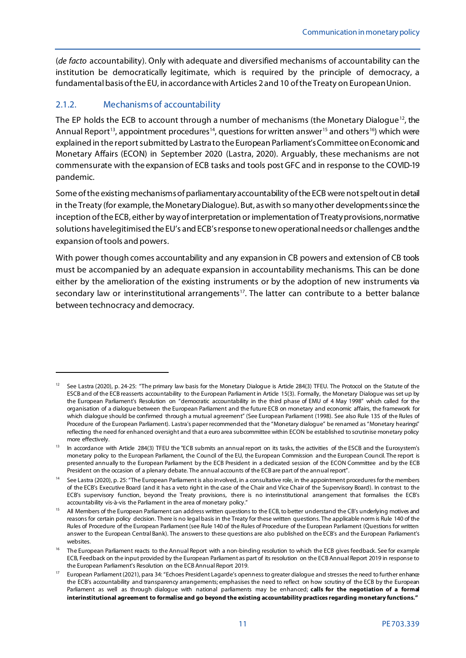(*de facto* accountability). Only with adequate and diversified mechanisms of accountability can the institution be democratically legitimate, which is required by the principle of democracy, a fundamental basis of the EU, in accordance with Articles 2 and 10 of the Treaty on European Union.

## <span id="page-12-0"></span>2.1.2. Mechanisms of accountability

1

The EP holds the ECB to account through a number of mechanisms (the Monetary Dialogue<sup>12</sup>, the Annual Report<sup>[13](#page-12-2)</sup>, appointment procedures<sup>[14](#page-12-3)</sup>, questions for written answer<sup>[15](#page-12-4)</sup> and others<sup>[16](#page-12-5)</sup>) which were explained in the report submitted by Lastra to the European Parliament's Committee on Economic and Monetary Affairs (ECON) in September 2020 (Lastra, 2020). Arguably, these mechanisms are not commensurate with the expansion of ECB tasks and tools post GFC and in response to the COVID-19 pandemic.

Some of the existing mechanisms of parliamentary accountability of the ECB were not spelt out in detail in the Treaty (for example, the Monetary Dialogue). But, as with so many other developments since the inception of the ECB, either by way of interpretation or implementation of Treaty provisions, normative solutions have legitimised the EU's and ECB's response to new operational needs or challenges and the expansion oftools and powers.

With power though comes accountability and any expansion in CB powers and extension of CB tools must be accompanied by an adequate expansion in accountability mechanisms. This can be done either by the amelioration of the existing instruments or by the adoption of new instruments via secondary law or interinstitutional arrangements<sup>17</sup>. The latter can contribute to a better balance between technocracy and democracy.

<span id="page-12-1"></span><sup>12</sup> See Lastra (2020), p. 24-25: "The primary law basis for the Monetary Dialogue is Article 284(3) TFEU. The Protocol on the Statute of the ESCB and of the ECB reasserts accountability to the European Parliament in Article 15(3). Formally, the Monetary Dialogue was set up by the European Parliament's Resolution on "democratic accountability in the third phase of EMU of 4 May 1998" which called for the organisation of a dialogue between the European Parliament and the future ECB on monetary and economic affairs, the framework for which dialogue should be confirmed through a mutual agreement" (See European Parliament (1998). See also Rule 135 of the Rules of Procedure of the European Parliament). Lastra's paper recommended that the "Monetary dialogue" be renamed as "Monetary hearings" reflecting the need for enhanced oversight and that a euro area subcommittee within ECON be established to scrutinise monetary policy more effectively.

<span id="page-12-2"></span><sup>&</sup>lt;sup>13</sup> In accordance with Article 284(3) TFEU the "ECB submits an annual report on its tasks, the activities of the ESCB and the Eurosystem's monetary policy to the European Parliament, the Council of the EU, the European Commission and the European Council. The report is presented annually to the European Parliament by the ECB President in a dedicated session of the ECON Committee and by the ECB President on the occasion of a plenary debate. The annual accounts of the ECB are part of the annual report".

<span id="page-12-3"></span><sup>&</sup>lt;sup>14</sup> See Lastra (2020), p. 25: "The European Parliament is also involved, in a consultative role, in the appointment procedures for the members of the ECB's Executive Board (and it has a veto right in the case of the Chair and Vice Chair of the Supervisory Board). In contrast to the ECB's supervisory function, beyond the Treaty provisions, there is no interinstitutional arrangement that formalises the ECB's accountability vis-à-vis the Parliament in the area of monetary policy."

<span id="page-12-4"></span><sup>&</sup>lt;sup>15</sup> All Members of the European Parliament can address written questions to the ECB, to better understand the CB's underlying motives and reasons for certain policy decision. There is no legal basis in the Treaty for these written questions. The applicable norm is Rule 140 of the Rules of Procedure of the European Parliament (see Rule 140 of the Rules of Procedure of the European Parliament (Questions for written answer to the European Central Bank). The answers to these questions are also published on the ECB's and the European Parliament's websites.

<span id="page-12-5"></span><sup>&</sup>lt;sup>16</sup> The European Parliament reacts to the Annual Report with a non-binding resolution to which the ECB gives feedback. See for example ECB, Feedback on the input provided by the European Parliament as part of its resolution on the ECB Annual Report 2019 in response to the European Parliament's Resolution on the ECB Annual Report 2019.

<span id="page-12-6"></span><sup>17</sup> European Parliament (2021), para 34: "Echoes President Lagarde's openness to greater dialogue and stresses the need to further enhance the ECB's accountability and transparency arrangements; emphasises the need to reflect on how scrutiny of the ECB by the European Parliament as well as through dialogue with national parliaments may be enhanced; **calls for the negotiation of a formal interinstitutional agreement to formalise and go beyond the existing accountability practices regarding monetary functions."**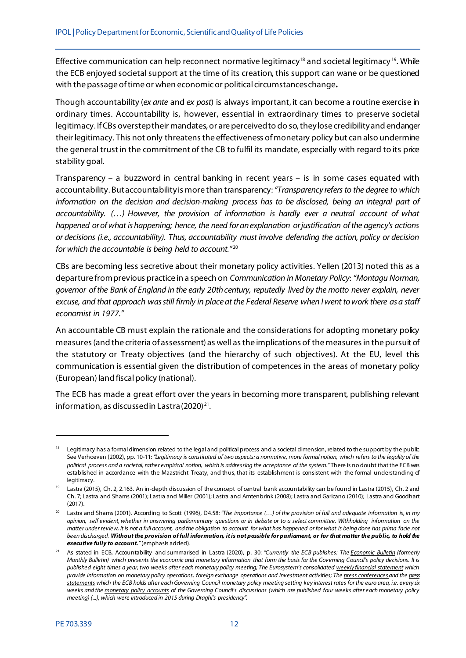Effective communication can help reconnect normative legitimacy<sup>[18](#page-13-0)</sup> and societal legitimacy<sup>[19](#page-13-1)</sup>. While the ECB enjoyed societal support at the time of its creation, this support can wane or be questioned with the passage of time or when economic or political circumstances change**.** 

Though accountability (*ex ante* and *ex post*) is always important, it can become a routine exercise in ordinary times. Accountability is, however, essential in extraordinary times to preserve societal legitimacy. IfCBs overstep their mandates, or are perceived to do so, they lose credibility and endanger their legitimacy. This not only threatens the effectiveness of monetary policy but can also undermine the general trust in the commitment of the CB to fulfil its mandate, especially with regard to its price stability goal.

Transparency – a buzzword in central banking in recent years – is in some cases equated with accountability. Butaccountability is more than transparency: *"Transparency refers to the degree to which information on the decision and decision-making process has to be disclosed, being an integral part of accountability. (…) However, the provision of information is hardly ever a neutral account of what happened or of what is happening; hence, the need for an explanation or justification of the agency's actions or decisions (i.e., accountability). Thus, accountability must involve defending the action, policy or decision*  for which the accountable is being held to account."<sup>[20](#page-13-2)</sup>

CBs are becoming less secretive about their monetary policy activities. Yellen (2013) noted this as a departure from previous practice in a speech on *Communication in Monetary Policy*: *"Montagu Norman, governor of the Bank of England in the early 20th century, reputedly lived by the motto never explain, never excuse, and that approach was still firmly in place at the Federal Reserve when I went to work there as a staff economist in 1977."*

An accountable CB must explain the rationale and the considerations for adopting monetary policy measures (and the criteria of assessment) as well as the implications of the measures in the pursuit of the statutory or Treaty objectives (and the hierarchy of such objectives). At the EU, level this communication is essential given the distribution of competences in the areas of monetary policy (European) land fiscal policy (national).

The ECB has made a great effort over the years in becoming more transparent, publishing relevant information, as discussed in Lastra  $(2020)^{21}$  $(2020)^{21}$  $(2020)^{21}$ .

<span id="page-13-0"></span><sup>&</sup>lt;sup>18</sup> Legitimacy has a formal dimension related to the legal and political process and a societal dimension, related to the support by the public. See Verhoeven (2002), pp. 10-11: *"Legitimacy is constituted of two aspects: a normative, more formal notion, which refers to the legality of the political process and a societal, rather empirical notion, which is addressing the acceptance of the system."* There is no doubt that the ECB was established in accordance with the Maastricht Treaty, and thus, that its establishment is consistent with the formal understanding of legitimacy.

<span id="page-13-1"></span><sup>&</sup>lt;sup>19</sup> Lastra (2015), Ch. 2, 2.163. An in-depth discussion of the concept of central bank accountability can be found in Lastra (2015), Ch. 2 and Ch. 7; Lastra and Shams (2001); Lastra and Miller (2001); Lastra and Amtenbrink (2008); Lastra and Garicano (2010); Lastra and Goodhart (2017).

<span id="page-13-2"></span><sup>&</sup>lt;sup>20</sup> Lastra and Shams (2001). According to Scott (1996), D4.58: "The importance (...) of the provision of full and adequate information is, in my *opinion, self evident, whether in answering parliamentary questions or in debate or to a select committee. Withholding information on the matter under review, it is not a full account, and the obligation to account for what has happened or for what is being done has prima facie not been discharged. Without the provision of full information, it is not possible for parliament, or for that matter the public, to hold the executive fully to account."*(emphasis added).

<span id="page-13-3"></span><sup>21</sup> As stated in ECB, Accountability and summarised in Lastra (2020), p. 30: *"Currently the ECB publishes: The [Economic](https://www.ecb.europa.eu/pub/economic-bulletin/html/index.en.html) Bulletin (formerly Monthly Bulletin) which presents the economic and monetary information that form the basis for the Governing Council's policy decisions. It is published eight times a year, two weeks after each monetary policy meeting; The Eurosystem's consolidated weekly financial [statement](https://www.ecb.europa.eu/press/pr/wfs/html/index.en.html) which provide information on monetary policy operations, foreign exchange operations and investment activities; The press [conferences](https://www.ecb.europa.eu/press/pressconf/)and the press statements which the ECB holds after each Governing Council monetary policy meeting setting key interest rates for the euro area, i.e. every six weeks and the [monetary](https://www.ecb.europa.eu/press/accounts/) policy accounts of the Governing Council's discussions (which are published four weeks after each monetary policy meeting) (...), which were introduced in 2015 during Draghi's presidency".*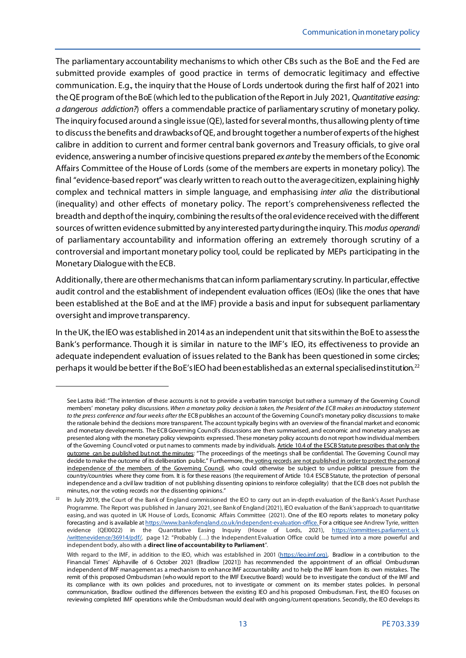The parliamentary accountability mechanisms to which other CBs such as the BoE and the Fed are submitted provide examples of good practice in terms of democratic legitimacy and effective communication. E.g., the inquiry that the House of Lords undertook during the first half of 2021 into the QE program of the BoE (which led to the publication of the Report in July 2021, *Quantitative easing: a dangerous addiction?*) offers a commendable practice of parliamentary scrutiny of monetary policy. The inquiry focused around a single issue (QE), lasted for severalmonths, thus allowing plenty of time to discussthe benefits and drawbacks of QE, and brought together a number of experts of the highest calibre in addition to current and former central bank governors and Treasury officials, to give oral evidence, answering a number of incisive questions prepared *ex ante*by the members of the Economic Affairs Committee of the House of Lords (some of the members are experts in monetary policy). The final "evidence-based report" was clearly written to reach out to the average citizen, explaining highly complex and technical matters in simple language, and emphasising *inter alia* the distributional (inequality) and other effects of monetary policy. The report's comprehensiveness reflected the breadth and depth of the inquiry, combining the results of the oral evidence received with the different sources ofwritten evidence submitted by any interested party during the inquiry. This *modus operandi* of parliamentary accountability and information offering an extremely thorough scrutiny of a controversial and important monetary policy tool, could be replicated by MEPs participating in the Monetary Dialogue with the ECB.

Additionally, there are other mechanisms that can inform parliamentary scrutiny. In particular, effective audit control and the establishment of independent evaluation offices (IEOs) (like the ones that have been established at the BoE and at the IMF) provide a basis and input for subsequent parliamentary oversight and improve transparency.

In the UK, the IEO was established in 2014 as an independent unit that sits within the BoE to assess the Bank's performance. Though it is similar in nature to the IMF's IEO, its effectiveness to provide an adequate independent evaluation of issues related to the Bank has been questioned in some circles; perhaps it would be better if the BoE's IEO had been established as an external specialised institution.[22](#page-14-0)

See Lastra ibid: "The intention of these accounts is not to provide a verbatim transcript but rather a summary of the Governing Council members' monetary policy discussions. *When a monetary policy decision is taken, the President of the ECB makes an introductory statement*  to the press conference and four weeks after the ECB publishes an account of the Governing Council's monetary policy discussions to make the rationale behind the decisions more transparent. The account typically begins with an overview of the financial market and economic and monetary developments. The ECB Governing Council's discussions are then summarised, and economic and monetary analyses are presented along with the monetary policy viewpoints expressed. These monetary policy accounts do not report how individual members of the Governing Council voted or put names to comments made by individuals. Article 10.4 of the ESCB Statute prescribes that only the outcome can be published but not the minutes: "The proceedings of the meetings shall be confidential. The Governing Council may decide to make the outcome of its deliberation public." Furthermore, the voting records are not published in order to protect the personal independence of the members of the Governing Council, who could otherwise be subject to undue political pressure from the country/countries where they come from. It is for these reasons (the requirement of Article 10.4 ESCB Statute, the protection of personal independence and a civil law tradition of not publishing dissenting opinions to reinforce collegiality) that the ECB does not publish the minutes, nor the voting records nor the dissenting opinions."

<span id="page-14-0"></span>In July 2019, the Court of the Bank of England commissioned the IEO to carry out an in-depth evaluation of the Bank's Asset Purchase Programme. The Report was published in January 2021, see Bank of England (2021), IEO evaluation of the Bank's approach to quantitative easing, and was quoted in UK House of Lords, Economic Affairs Committee (2021). One of the IEO reports relates to monetary policy forecasting and is available a[t https://www.bankofengland.co.uk/independent-evaluation-office.](https://www.bankofengland.co.uk/independent-evaluation-office) For a critique see Andrew Tyrie, written evidence (QEI0022) in the Quantitative Easing Inquiry (House of Lords, 2021), <u>https://committees.parliament.uk</u> [/writtenevidence/36914/pdf/,](https://committees.parliament.uk/writtenevidence/36914/pdf/) page 12: "Probably (…) the Independent Evaluation Office could be turned into a more powerful and independent body, also with a **direct line of accountability to Parliament**".

With regard to the IMF, in addition to the IEO, which was established in 2001 [\(https://ieo.imf.org\),](https://ieo.imf.org/) Bradlow in a contribution to the Financial Times' Alphaville of 6 October 2021 (Bradlow [2021]) has recommended the appointment of an official Ombudsman independent of IMF management as a mechanism to enhance IMF accountability and to help the IMF learn from its own mistakes. The remit of this proposed Ombudsman (who would report to the IMF Executive Board) would be to investigate the conduct of the IMF and its compliance with its own policies and procedures, not to investigate or comment on its member states policies. In personal communication, Bradlow outlined the differences between the existing IEO and his proposed Ombudsman. First, the IEO focuses on reviewing completed IMF operations while the Ombudsman would deal with ongoing/current operations. Secondly, the IEO develops its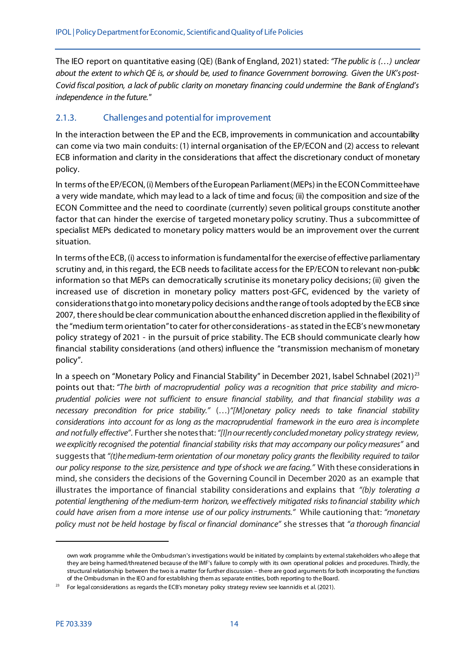The IEO report on quantitative easing (QE) (Bank of England, 2021) stated: *"The public is (…) unclear about the extent to which QE is, or should be, used to finance Government borrowing. Given the UK's post-Covid fiscal position, a lack of public clarity on monetary financing could undermine the Bank of England's independence in the future."*

### <span id="page-15-0"></span>2.1.3. Challenges and potential for improvement

In the interaction between the EP and the ECB, improvements in communication and accountability can come via two main conduits: (1) internal organisation of the EP/ECON and (2) access to relevant ECB information and clarity in the considerations that affect the discretionary conduct of monetary policy.

In terms of the EP/ECON, (i) Members of the European Parliament (MEPs) in the ECON Committee have a very wide mandate, which may lead to a lack of time and focus; (ii) the composition and size of the ECON Committee and the need to coordinate (currently) seven political groups constitute another factor that can hinder the exercise of targeted monetary policy scrutiny. Thus a subcommittee of specialist MEPs dedicated to monetary policy matters would be an improvement over the current situation.

In terms of the ECB, (i) access to information is fundamental for the exercise of effective parliamentary scrutiny and, in this regard, the ECB needs to facilitate access for the EP/ECON to relevant non-public information so that MEPs can democratically scrutinise its monetary policy decisions; (ii) given the increased use of discretion in monetary policy matters post-GFC, evidenced by the variety of considerations that go into monetary policy decisions and the range of tools adopted by the ECB since 2007, there should be clear communication about the enhanced discretion applied in the flexibility of the "medium term orientation"to cater for other considerations - as stated in the ECB's new monetary policy strategy of 2021 - in the pursuit of price stability. The ECB should communicate clearly how financial stability considerations (and others) influence the "transmission mechanism of monetary policy".

In a speech on "Monetary Policy and Financial Stability" in December 2021, Isabel Schnabel (2021)<sup>[23](#page-15-1)</sup> points out that: *"The birth of macroprudential policy was a recognition that price stability and microprudential policies were not sufficient to ensure financial stability, and that financial stability was a necessary precondition for price stability."* (…)*"[M]onetary policy needs to take financial stability considerations into account for as long as the macroprudential framework in the euro area is incomplete and not fully effective"*. Further she notes that: *"[I]n our recently concluded monetary policy strategy review, we explicitly recognised the potential financial stability risks that may accompany our policy measures"* and suggests that *"(t)he medium-term orientation of our monetary policy grants the flexibility required to tailor our policy response to the size, persistence and type of shock we are facing."* With these considerations in mind, she considers the decisions of the Governing Council in December 2020 as an example that illustrates the importance of financial stability considerations and explains that *"(b)y tolerating a potential lengthening of the medium-term horizon, we effectively mitigated risks to financial stability which could have arisen from a more intense use of our policy instruments."* While cautioning that: *"monetary policy must not be held hostage by fiscal or financial dominance"* she stresses that *"a thorough financial* 

.

own work programme while the Ombudsman's investigations would be initiated by complaints by external stakeholders who allege that they are being harmed/threatened because of the IMF's failure to comply with its own operational policies and procedures. Thirdly, the structural relationship between the two is a matter for further discussion – there are good arguments for both incorporating the functions of the Ombudsman in the IEO and for establishing them as separate entities, both reporting to the Board.

<span id="page-15-1"></span> $23$  For legal considerations as regards the ECB's monetary policy strategy review see loannidis et al. (2021).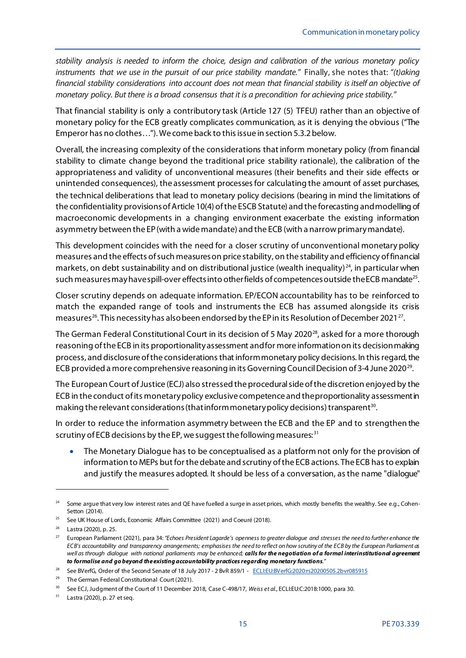*stability analysis is needed to inform the choice, design and calibration of the various monetary policy instruments that we use in the pursuit of our price stability mandate."* Finally, she notes that: *"(t)aking financial stability considerations into account does not mean that financial stability is itself an objective of monetary policy. But there is a broad consensus that it is a precondition for achieving price stability."*

That financial stability is only a contributory task (Article 127 (5) TFEU) rather than an objective of monetary policy for the ECB greatly complicates communication, as it is denying the obvious ("The Emperor has no clothes…"). We come back to this issue in section 5.3.2 below.

Overall, the increasing complexity of the considerations that inform monetary policy (from financial stability to climate change beyond the traditional price stability rationale), the calibration of the appropriateness and validity of unconventional measures (their benefits and their side effects or unintended consequences), the assessment processes for calculating the amount of asset purchases, the technical deliberations that lead to monetary policy decisions (bearing in mind the limitations of the confidentiality provisions of Article 10(4) of the ESCB Statute) and the forecasting and modelling of macroeconomic developments in a changing environment exacerbate the existing information asymmetry between the EP(with a wide mandate) and the ECB (with a narrow primary mandate).

This development coincides with the need for a closer scrutiny of unconventional monetary policy measures and the effects of such measures on price stability, on the stability and efficiency of financial markets, on debt sustainability and on distributional justice (wealth inequality) $^{24}$  $^{24}$  $^{24}$ , in particular when such measures may have spill-over effects into other fields of competences outside the ECB mandate<sup>25</sup>.

Closer scrutiny depends on adequate information. EP/ECON accountability has to be reinforced to match the expanded range of tools and instruments the ECB has assumed alongside its crisis measures<sup>[26](#page-16-2)</sup>. This necessity has also been endorsed by the EP in its Resolution of December 2021<sup>[27](#page-16-3)</sup>.

The German Federal Constitutional Court in its decision of 5 May 2020<sup>28</sup>, asked for a more thorough reasoning of the ECB in its proportionality assessment and for more information on its decision making process, and disclosure of the considerationsthat inform monetary policy decisions. In this regard, the ECB provided a more comprehensive reasoning in its Governing Council Decision of 3-4 June 2020<sup>[29](#page-16-5)</sup>.

The European Court of Justice (ECJ) also stressed the procedural side of the discretion enjoyed by the ECB in the conduct of its monetary policy exclusive competence and the proportionality assessment in making the relevant considerations (that inform monetary policy decisions) transparent<sup>[30](#page-16-6)</sup>.

In order to reduce the information asymmetry between the ECB and the EP and to strengthen the scrutiny of ECB decisions by the EP, we suggest the following measures: [31](#page-16-7)

• The Monetary Dialogue has to be conceptualised as a platform not only for the provision of information to MEPs but for the debate and scrutiny of the ECB actions. The ECB has to explain and justify the measures adopted. It should be less of a conversation, as the name "dialogue"

<span id="page-16-0"></span>Some argue that very low interest rates and QE have fuelled a surge in asset prices, which mostly benefits the wealthy. See e.g., Cohen-Setton (2014).

<span id="page-16-1"></span><sup>&</sup>lt;sup>25</sup> See UK House of Lords, Economic Affairs Committee (2021) and Coeuré (2018).

<span id="page-16-2"></span><sup>26</sup> Lastra (2020), p. 25.

<span id="page-16-3"></span><sup>&</sup>lt;sup>27</sup> European Parliament (2021), para 34: "Echoes President Lagarde's openness to greater dialogue and stresses the need to further enhance the *ECB's accountability and transparency arrangements; emphasises the need to reflect on how scrutiny of the ECB by the European Parliament as well as through dialogue with national parliaments may be enhanced; calls for the negotiation of a formal interinstitutional agreement to formalise and go beyond the existing accountability practices regarding monetary functions."*

<span id="page-16-4"></span><sup>&</sup>lt;sup>28</sup> See BVerfG, Order of the Second Senate of 18 July 2017 - 2 BvR 859/1 - [ECLI:EU:BVerfG:2020:rs20200505.2bvr085915](https://www.bundesverfassungsgericht.de/SharedDocs/Entscheidungen/EN/2020/05/rs20200505_2bvr085915en.html)

<span id="page-16-5"></span><sup>&</sup>lt;sup>29</sup> The German Federal Constitutional Court (2021).

<span id="page-16-6"></span><sup>&</sup>lt;sup>30</sup> See ECJ, Judgment of the Court of 11 December 2018, Case C-498/17, Weiss et al., ECLI:EU:C:2018:1000, para 30.

<span id="page-16-7"></span> $31$  Lastra (2020), p. 27 et seq.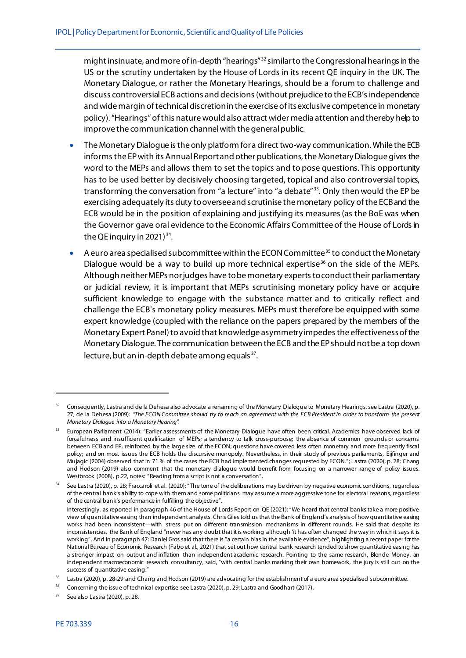might insinuate, and more of in-depth "hearings" [32](#page-17-0) similar to the Congressional hearings in the US or the scrutiny undertaken by the House of Lords in its recent QE inquiry in the UK. The Monetary Dialogue, or rather the Monetary Hearings, should be a forum to challenge and discuss controversialECB actions and decisions(without prejudice to the ECB's independence and wide margin of technical discretion in the exercise of its exclusive competence in monetary policy). "Hearings" of this nature would also attract wider media attention and thereby help to improve the communication channel with the general public.

- The Monetary Dialogue is the only platform for a direct two-way communication. While the ECB informs the EP with its Annual Report and other publications, the Monetary Dialogue gives the word to the MEPs and allows them to set the topics and to pose questions. This opportunity has to be used better by decisively choosing targeted, topical and also controversial topics, transforming the conversation from "a lecture" into "a debate"<sup>[33](#page-17-1)</sup>. Only then would the EP be exercising adequately its duty to oversee and scrutinise the monetary policy of the ECB and the ECB would be in the position of explaining and justifying its measures (as the BoE was when the Governor gave oral evidence to the Economic Affairs Committee of the House of Lords in the QE inquiry in 2021) [34](#page-17-2).
- $\bullet$  A euro area specialised subcommittee within the ECON Committee<sup>[35](#page-17-3)</sup> to conduct the Monetary Dialogue would be a way to build up more technical expertise<sup>[36](#page-17-4)</sup> on the side of the MEPs. Although neither MEPs nor judges have to be monetary experts to conduct their parliamentary or judicial review, it is important that MEPs scrutinising monetary policy have or acquire sufficient knowledge to engage with the substance matter and to critically reflect and challenge the ECB's monetary policy measures. MEPs must therefore be equipped with some expert knowledge (coupled with the reliance on the papers prepared by the members of the Monetary Expert Panel) to avoid that knowledge asymmetry impedesthe effectivenessof the Monetary Dialogue. The communication between the ECB and the EP should not be a top down lecture, but an in-depth debate among equals <sup>[37](#page-17-5)</sup>.

<span id="page-17-0"></span><sup>&</sup>lt;sup>32</sup> Consequently, Lastra and de la Dehesa also advocate a renaming of the Monetary Dialogue to Monetary Hearings, see Lastra (2020), p. 27; de la Dehesa (2009): *"The ECON Committee should try to reach an agreement with the ECB President in order to transform the present Monetary Dialogue into a Monetary Hearing".*

<span id="page-17-1"></span><sup>33</sup> European Parliament (2014): "Earlier assessments of the Monetary Dialogue have often been critical. Academics have observed lack of forcefulness and insufficient qualification of MEPs; a tendency to talk cross-purpose; the absence of common grounds or concerns between ECB and EP, reinforced by the large size of the ECON; questions have covered less often monetary and more frequently fiscal policy; and on most issues the ECB holds the discursive monopoly. Nevertheless, in their study of previous parliaments, Eijfinger and Mujagic (2004) observed that in 71 % of the cases the ECB had implemented changes requested by ECON."; Lastra (2020), p. 28; Chang and Hodson (2019) also comment that the monetary dialogue would benefit from focusing on a narrower range of policy issues. Westbrook (2008), p.22, notes: "Reading from a script is not a conversation".

<span id="page-17-2"></span>See Lastra (2020), p. 28; Fraccaroli et al. (2020): "The tone of the deliberations may be driven by negative economic conditions, regardless of the central bank's ability to cope with them and some politicians may assume a more aggressive tone for electoral reasons, regardless of the central bank's performance in fulfilling the objective".

Interestingly, as reported in paragraph 46 of the House of Lords Report on QE (2021): "We heard that central banks take a more positive view of quantitative easing than independent analysts. Chris Giles told us that the Bank of England's analysis of how quantitative easing works had been inconsistent—with stress put on different transmission mechanisms in different rounds. He said that despite its inconsistencies, the Bank of England "never has any doubt that it is working although 'it has often changed the way in which it says it is working". And in paragraph 47: Daniel Gros said that there is "a certain bias in the available evidence", highlighting a recent paper for the National Bureau of Economic Research (Fabo et al., 2021) that set out how central bank research tended to show quantitative easing has a stronger impact on output and inflation than independent academic research. Pointing to the same research, Blonde Money, an independent macroeconomic research consultancy, said, "with central banks marking their own homework, the jury is still out on the success of quantitative easing."

<span id="page-17-3"></span><sup>&</sup>lt;sup>35</sup> Lastra (2020), p. 28-29 and Chang and Hodson (2019) are advocating for the establishment of a euro area specialised subcommittee.

<span id="page-17-4"></span><sup>&</sup>lt;sup>36</sup> Concerning the issue of technical expertise see Lastra (2020), p. 29; Lastra and Goodhart (2017).

<span id="page-17-5"></span> $37$  See also Lastra (2020), p. 28.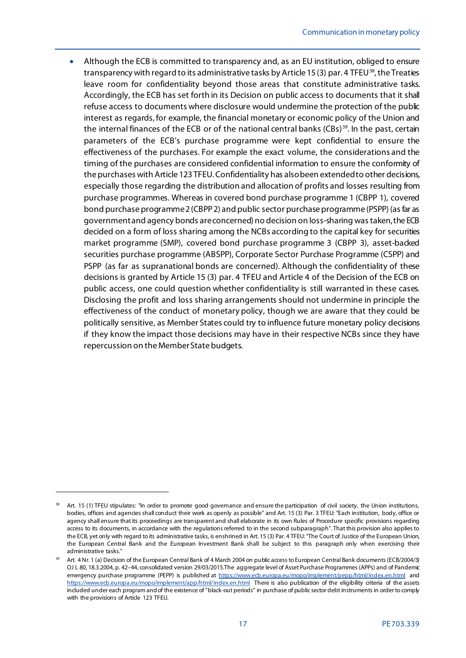• Although the ECB is committed to transparency and, as an EU institution, obliged to ensure transparency with regard to its administrative tasks by Article 15(3) par. 4 TFEU<sup>[38](#page-18-0)</sup>, the Treaties leave room for confidentiality beyond those areas that constitute administrative tasks. Accordingly, the ECB has set forth in its Decision on public access to documents that it shall refuse access to documents where disclosure would undermine the protection of the public interest as regards, for example, the financial monetary or economic policy of the Union and the internal finances of the ECB or of the national central banks (CBs)<sup>[39](#page-18-1)</sup>. In the past, certain parameters of the ECB's purchase programme were kept confidential to ensure the effectiveness of the purchases. For example the exact volume, the considerations and the timing of the purchases are considered confidential information to ensure the conformity of the purchases with Article 123 TFEU. Confidentiality has also been extended to other decisions, especially those regarding the distribution and allocation of profits and losses resulting from purchase programmes. Whereas in covered bond purchase programme 1 (CBPP 1), covered bond purchase programme 2 (CBPP2) and public sector purchase programme (PSPP) (as far as government and agency bonds are concerned) no decision on loss-sharing was taken,the ECB decided on a form of loss sharing among the NCBs according to the capital key for securities market programme (SMP), covered bond purchase programme 3 (CBPP 3), asset-backed securities purchase programme (ABSPP), Corporate Sector Purchase Programme (CSPP) and PSPP (as far as supranational bonds are concerned). Although the confidentiality of these decisions is granted by Article 15 (3) par. 4 TFEU and Article 4 of the Decision of the ECB on public access, one could question whether confidentiality is still warranted in these cases. Disclosing the profit and loss sharing arrangements should not undermine in principle the effectiveness of the conduct of monetary policy, though we are aware that they could be politically sensitive, as Member States could try to influence future monetary policy decisions if they know the impact those decisions may have in their respective NCBs since they have repercussion on the Member State budgets.

<span id="page-18-0"></span>Art. 15 (1) TFEU stipulates: "In order to promote good governance and ensure the participation of civil society, the Union institutions, bodies, offices and agencies shall conduct their work as openly as possible" and Art. 15 (3) Par. 3 TFEU: "Each institution, body, office or agency shall ensure that its proceedings are transparent and shall elaborate in its own Rules of Procedure specific provisions regarding access to its documents, in accordance with the regulations referred to in the second subparagraph". That this provision also applies to the ECB, yet only with regard to its administrative tasks, is enshrined in Art. 15 (3) Par. 4 TFEU: "The Court of Justice of the European Union, the European Central Bank and the European Investment Bank shall be subject to this paragraph only when exercising their administrative tasks."

<span id="page-18-1"></span><sup>39</sup> Art. 4 Nr. 1 (a) Decision of the European Central Bank of 4 March 2004 on public access to European Central Bank documents (ECB/2004/3) OJ L 80, 18.3.2004, p. 42–44, consolidated version 29/03/2015.The aggregate level of Asset Purchase Programmes (APPs) and of Pandemic emergency purchase programme (PEPP) is published at <https://www.ecb.europa.eu/mopo/implement/pepp/html/index.en.html> and <https://www.ecb.europa.eu/mopo/implement/app/html/index.en.html> There is also publication of the eligibility criteria of the assets included under each program and of the existence of "black-out periods" in purchase of public sector debt instruments in order to comply with the provisions of Article 123 TFEU.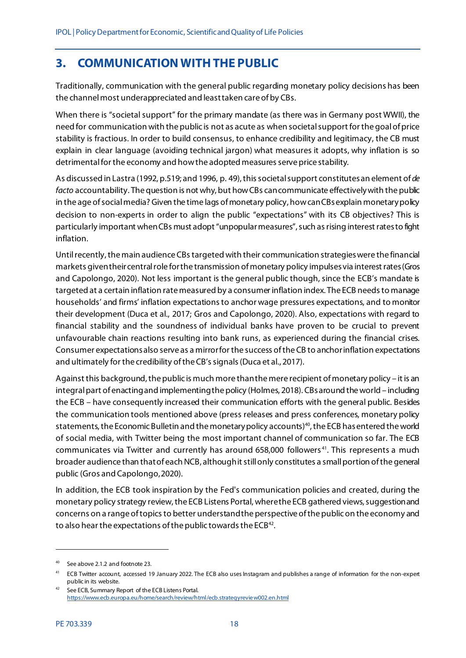# <span id="page-19-0"></span>**3. COMMUNICATION WITH THE PUBLIC**

Traditionally, communication with the general public regarding monetary policy decisions has been the channel most underappreciated and least taken care of by CBs.

When there is "societal support" for the primary mandate (as there was in Germany post WWII), the need for communication with the public is not as acute as when societal support for the goal of price stability is fractious. In order to build consensus, to enhance credibility and legitimacy, the CB must explain in clear language (avoiding technical jargon) what measures it adopts, why inflation is so detrimental for the economy and how the adopted measures serve price stability.

As discussed in Lastra (1992, p.519; and 1996, p. 49), this societal support constitutes an element of *de facto* accountability. The question is not why, but how CBs can communicate effectively with the public in the age of social media? Given the time lags of monetary policy, how can CBs explain monetary policy decision to non-experts in order to align the public "expectations" with its CB objectives? This is particularly important when CBs must adopt "unpopular measures", such as rising interest rates to fight inflation.

Until recently, the main audience CBs targeted with their communication strategieswere the financial markets given their central role for the transmission of monetary policy impulses via interest rates(Gros and Capolongo, 2020). Not less important is the general public though, since the ECB's mandate is targeted at a certain inflation rate measured by a consumer inflation index. The ECB needs to manage households' and firms' inflation expectations to anchor wage pressures expectations, and to monitor their development (Duca et al., 2017; Gros and Capolongo, 2020). Also, expectations with regard to financial stability and the soundness of individual banks have proven to be crucial to prevent unfavourable chain reactions resulting into bank runs, as experienced during the financial crises. Consumer expectations also serve as a mirror for the success of the CB to anchor inflation expectations and ultimately for the credibility of the CB's signals(Duca et al., 2017).

Against this background, the public is much more than the mere recipient of monetary policy – it is an integral part of enacting and implementing the policy (Holmes, 2018). CBs around the world – including the ECB – have consequently increased their communication efforts with the general public. Besides the communication tools mentioned above (press releases and press conferences, monetary policy statements, the Economic Bulletin and the monetary policy accounts)<sup>[40](#page-19-1)</sup>, the ECB has entered the world of social media, with Twitter being the most important channel of communication so far. The ECB communicates via Twitter and currently has around 658,000 followers<sup>41</sup>. This represents a much broader audience than that of each NCB, although it still only constitutes a small portion of the general public (Gros and Capolongo, 2020).

In addition, the ECB took inspiration by the Fed's communication policies and created, during the monetary policy strategy review, the ECB Listens Portal, where the ECB gathered views, suggestion and concerns on a range of topics to better understand the perspective of the public on the economy and to also hear the expectations of the public towards the ECB<sup>42</sup>.

<span id="page-19-1"></span><sup>40</sup> See above 2.1.2 and footnote 23.

<span id="page-19-2"></span><sup>&</sup>lt;sup>41</sup> ECB Twitter account, accessed 19 January 2022. The ECB also uses Instagram and publishes a range of information for the non-expert public in its website.

<span id="page-19-3"></span><sup>42</sup> See ECB, Summary Report of the ECB Listens Portal. <https://www.ecb.europa.eu/home/search/review/html/ecb.strategyreview002.en.html>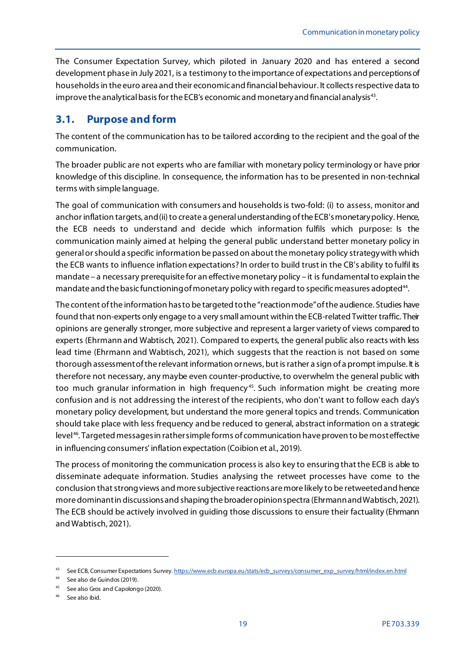The Consumer Expectation Survey, which piloted in January 2020 and has entered a second development phase in July 2021, is a testimony to the importance of expectations and perceptions of households in the euro area and their economic and financial behaviour. It collects respective data to improve the analytical basis for the ECB's economic and monetary and financial analysis<sup>[43](#page-20-1)</sup>.

## <span id="page-20-0"></span>**3.1. Purpose and form**

The content of the communication has to be tailored according to the recipient and the goal of the communication.

The broader public are not experts who are familiar with monetary policy terminology or have prior knowledge of this discipline. In consequence, the information has to be presented in non-technical terms with simple language.

The goal of communication with consumers and households is two-fold: (i) to assess, monitor and anchor inflation targets, and (ii) to create a general understanding of the ECB's monetary policy. Hence, the ECB needs to understand and decide which information fulfils which purpose: Is the communication mainly aimed at helping the general public understand better monetary policy in general or should a specific information be passed on about the monetary policy strategy with which the ECB wants to influence inflation expectations? In order to build trust in the CB's ability to fulfil its mandate – a necessary prerequisite for an effective monetary policy – it is fundamental to explain the mandate and the basic functioning of monetary policy with regard to specific measures adopted<sup>44</sup>.

The content of the information has to be targeted to the "reaction mode"of the audience. Studies have found that non-experts only engage to a very small amount within the ECB-related Twitter traffic. Their opinions are generally stronger, more subjective and represent a larger variety of views compared to experts (Ehrmann and Wabtisch, 2021). Compared to experts, the general public also reacts with less lead time (Ehrmann and Wabtisch, 2021), which suggests that the reaction is not based on some thorough assessment of the relevant information or news, but israther a sign of a prompt impulse. It is therefore not necessary, any maybe even counter-productive, to overwhelm the general public with too much granular information in high frequency<sup>[45](#page-20-3)</sup>. Such information might be creating more confusion and is not addressing the interest of the recipients, who don't want to follow each day's monetary policy development, but understand the more general topics and trends. Communication should take place with less frequency and be reduced to general, abstract information on a strategic level<sup>[46](#page-20-4)</sup>. Targeted messages in rather simple forms of communication have proven to be most effective in influencing consumers' inflation expectation (Coibion et al., 2019).

The process of monitoring the communication process is also key to ensuring that the ECB is able to disseminate adequate information. Studies analysing the retweet processes have come to the conclusion that strong views and more subjective reactions are more likely to be retweetedand hence more dominant in discussions and shaping the broader opinion spectra (Ehrmann and Wabtisch, 2021). The ECB should be actively involved in guiding those discussions to ensure their factuality (Ehrmann and Wabtisch, 2021).

<span id="page-20-1"></span><sup>43</sup> See ECB, Consumer Expectations Survey. [https://www.ecb.europa.eu/stats/ecb\\_surveys/consumer\\_exp\\_survey/html/index.en.html](https://www.ecb.europa.eu/stats/ecb_surveys/consumer_exp_survey/html/index.en.html)

<span id="page-20-2"></span><sup>44</sup> See also de Guindos (2019).

<span id="page-20-3"></span><sup>&</sup>lt;sup>45</sup> See also Gros and Capolongo (2020).

<span id="page-20-4"></span><sup>46</sup> See also ibid.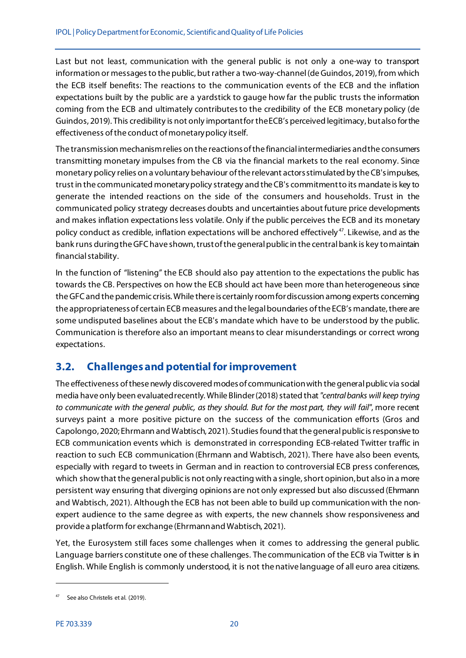Last but not least, communication with the general public is not only a one-way to transport information or messages to the public, but rather a two-way-channel(de Guindos, 2019), from which the ECB itself benefits: The reactions to the communication events of the ECB and the inflation expectations built by the public are a yardstick to gauge how far the public trusts the information coming from the ECB and ultimately contributes to the credibility of the ECB monetary policy (de Guindos, 2019). This credibility is not only important for the ECB's perceived legitimacy, but also for the effectiveness of the conduct of monetary policy itself.

The transmission mechanism relies on the reactions of the financial intermediaries and the consumers transmitting monetary impulses from the CB via the financial markets to the real economy. Since monetary policy relies on a voluntary behaviour of the relevant actors stimulated by the CB's impulses, trust in the communicated monetary policy strategy and the CB's commitment to its mandate is key to generate the intended reactions on the side of the consumers and households. Trust in the communicated policy strategy decreases doubts and uncertainties about future price developments and makes inflation expectations less volatile. Only if the public perceives the ECB and its monetary policy conduct as credible, inflation expectations will be anchored effectively [47](#page-21-1). Likewise, and as the bank runs during the GFC have shown, trust of the general public in the central bank is key to maintain financial stability.

In the function of "listening" the ECB should also pay attention to the expectations the public has towards the CB. Perspectives on how the ECB should act have been more than heterogeneous since the GFC and the pandemic crisis. While there is certainly room for discussion among experts concerning the appropriateness of certain ECB measures and the legal boundaries of the ECB's mandate, there are some undisputed baselines about the ECB's mandate which have to be understood by the public. Communication is therefore also an important means to clear misunderstandings or correct wrong expectations.

## <span id="page-21-0"></span>**3.2. Challenges and potential for improvement**

The effectiveness of these newly discovered modes of communicationwith the general public via social media have only been evaluated recently. While Blinder (2018) stated that *"central banks will keep trying to communicate with the general public, as they should. But for the most part, they will fail"*, more recent surveys paint a more positive picture on the success of the communication efforts (Gros and Capolongo, 2020; Ehrmann and Wabtisch, 2021). Studies found that the general public is responsive to ECB communication events which is demonstrated in corresponding ECB-related Twitter traffic in reaction to such ECB communication (Ehrmann and Wabtisch, 2021). There have also been events, especially with regard to tweets in German and in reaction to controversial ECB press conferences, which showthat the general public is not only reacting with a single, short opinion, but also in a more persistent way ensuring that diverging opinions are not only expressed but also discussed (Ehrmann and Wabtisch, 2021). Although the ECB has not been able to build up communication with the nonexpert audience to the same degree as with experts, the new channels show responsiveness and provide a platform for exchange (Ehrmann and Wabtisch, 2021).

Yet, the Eurosystem still faces some challenges when it comes to addressing the general public. Language barriers constitute one of these challenges. The communication of the ECB via Twitter is in English. While English is commonly understood, it is not the native language of all euro area citizens.

<span id="page-21-1"></span>See also Christelis et al. (2019).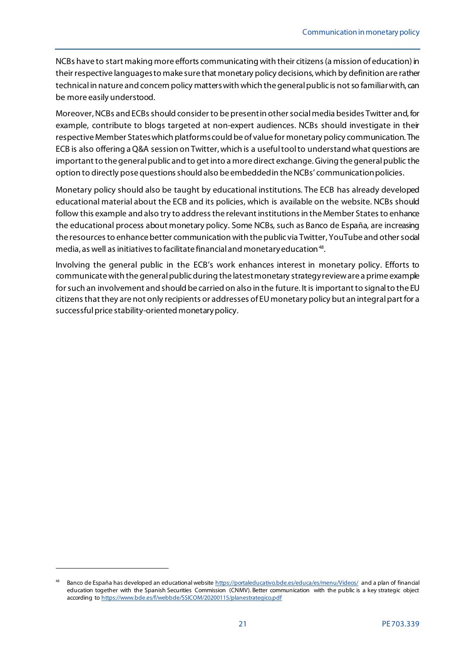NCBs have to start making more efforts communicating with their citizens (a mission of education) in their respective languages to make sure that monetary policy decisions, which by definition are rather technical in nature and concern policy matters with which the general public is not so familiar with, can be more easily understood.

Moreover, NCBs and ECBs should consider to be present in other social media besides Twitter and, for example, contribute to blogs targeted at non-expert audiences. NCBs should investigate in their respective Member States which platforms could be of value for monetary policy communication. The ECB is also offering a Q&A session on Twitter, which is a useful tool to understand what questions are important to the general public and to get into a more direct exchange. Giving the general public the option to directly pose questionsshould also be embedded in the NCBs' communication policies.

Monetary policy should also be taught by educational institutions. The ECB has already developed educational material about the ECB and its policies, which is available on the website. NCBs should follow this example and also try to address the relevant institutions in the Member States to enhance the educational process about monetary policy. Some NCBs, such as Banco de España, are increasing the resources to enhance better communication with the public via Twitter, YouTube and other social media, as well as initiatives to facilitate financial and monetary education<sup>48</sup>.

Involving the general public in the ECB's work enhances interest in monetary policy. Efforts to communicate with the general public during the latest monetary strategy review are a prime example for such an involvement and should be carried on also in the future. It is important to signal to the EU citizens that they are not only recipients or addresses of EU monetary policy but an integral part for a successful price stability-oriented monetary policy.

<span id="page-22-0"></span>Banco de España has developed an educational website<https://portaleducativo.bde.es/educa/es/menu/Videos/> and a plan of financial education together with the Spanish Securities Commission (CNMV). Better communication with the public is a key strategic object according t[o https://www.bde.es/f/webbde/SSICOM/20200115/planestrategico.pdf](https://www.bde.es/f/webbde/SSICOM/20200115/planestrategico.pdf)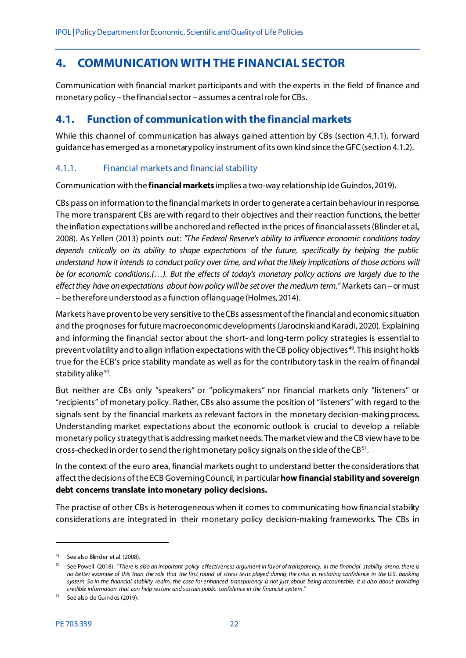# <span id="page-23-0"></span>**4. COMMUNICATION WITH THE FINANCIAL SECTOR**

Communication with financial market participants and with the experts in the field of finance and monetary policy – the financial sector – assumes a central role for CBs.

## <span id="page-23-1"></span>**4.1. Function of communication with the financial markets**

While this channel of communication has always gained attention by CBs (section 4.1.1), forward guidance has emerged as a monetary policy instrument of its own kind since the GFC(section 4.1.2).

## <span id="page-23-2"></span>4.1.1. Financial markets and financial stability

Communication with the **financial markets** implies a two-way relationship (de Guindos,2019).

CBs pass on information to the financial markets in order to generate a certain behaviour in response. The more transparent CBs are with regard to their objectives and their reaction functions, the better the inflation expectations will be anchored and reflected in the prices of financial assets(Blinder et al., 2008). As Yellen (2013) points out: *"The Federal Reserve's ability to influence economic conditions today depends critically on its ability to shape expectations of the future, specifically by helping the public understand how it intends to conduct policy over time, and what the likely implications of those actions will be for economic conditions.(…). But the effects of today's monetary policy actions are largely due to the effect they have on expectations about how policy will be set over the medium term."* Markets can – or must – be therefore understood as a function of language (Holmes, 2014).

Markets have proven to be very sensitive to the CBs assessment of the financial and economic situation and the prognoses for future macroeconomic developments(Jarocinski and Karadi, 2020). Explaining and informing the financial sector about the short- and long-term policy strategies is essential to prevent volatility and to align inflation expectations with the CB policy objectives [49](#page-23-3). This insight holds true for the ECB's price stability mandate as well as for the contributory task in the realm of financial stability alike<sup>[50](#page-23-4)</sup>.

But neither are CBs only "speakers" or "policymakers" nor financial markets only "listeners" or "recipients" of monetary policy. Rather, CBs also assume the position of "listeners" with regard to the signals sent by the financial markets as relevant factors in the monetary decision-making process. Understanding market expectations about the economic outlook is crucial to develop a reliable monetary policy strategy that is addressing market needs. The market view and the CB view have to be cross-checked in order to send the right monetary policy signals on the side of the CB $^{51}$ .

In the context of the euro area, financial markets ought to understand better the considerations that affect the decisions of the ECB Governing Council, in particular **how financial stability and sovereign debt concerns translate into monetary policy decisions.** 

The practise of other CBs is heterogeneous when it comes to communicating how financial stability considerations are integrated in their monetary policy decision-making frameworks. The CBs in

<span id="page-23-3"></span><sup>49</sup> See also Blinder et al. (2008).

<span id="page-23-4"></span><sup>50</sup> See Powell (2018): "*There is also an important policy effectiveness argument in favor of transparency. In the financial stability arena, there is no better example of this than the role that the first round of stress tests played during the crisis in restoring confidence in the U.S. banking system. So in the financial stability realm, the case for enhanced transparency is not just about being accountable; it is also about providing credible information that can help restore and sustain public confidence in the financial system.*"

<span id="page-23-5"></span>See also de Guindos (2019).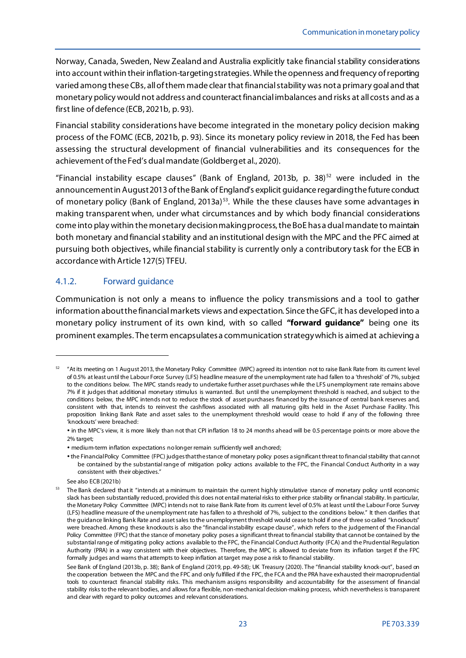Norway, Canada, Sweden, New Zealand and Australia explicitly take financial stability considerations into account within their inflation-targeting strategies. While the openness and frequency of reporting varied among these CBs, all of them made clear that financial stability was not a primary goal and that monetary policy would not address and counteract financial imbalances and risks at all costs and as a first line of defence (ECB, 2021b, p. 93).

Financial stability considerations have become integrated in the monetary policy decision making process of the FOMC (ECB, 2021b, p. 93). Since its monetary policy review in 2018, the Fed has been assessing the structural development of financial vulnerabilities and its consequences for the achievement of the Fed's dual mandate (Goldberg et al., 2020).

"Financial instability escape clauses" (Bank of England, 2013b, p. 38)<sup>[52](#page-24-1)</sup> were included in the announcement in August 2013 of the Bank of England's explicit guidance regarding the future conduct of monetary policy (Bank of England, 2013a)<sup>[53](#page-24-2)</sup>. While the these clauses have some advantages in making transparent when, under what circumstances and by which body financial considerations come into play within the monetary decision making process, the BoE has a dual mandate to maintain both monetary and financial stability and an institutional design with the MPC and the PFC aimed at pursuing both objectives, while financial stability is currently only a contributory task for the ECB in accordance with Article 127(5) TFEU.

## <span id="page-24-0"></span>4.1.2. Forward guidance

Communication is not only a means to influence the policy transmissions and a tool to gather information about the financial markets views and expectation. Since the GFC, it has developed into a monetary policy instrument of its own kind, with so called **"forward guidance"** being one its prominent examples. The term encapsulates a communication strategy which is aimed at achieving a

<span id="page-24-1"></span><sup>52</sup> "At its meeting on 1 August 2013, the Monetary Policy Committee (MPC) agreed its intention not to raise Bank Rate from its current level of 0.5% at least until the Labour Force Survey (LFS) headline measure of the unemployment rate had fallen to a 'threshold' of 7%, subject to the conditions below. The MPC stands ready to undertake further asset purchases while the LFS unemployment rate remains above 7% if it judges that additional monetary stimulus is warranted. But until the unemployment threshold is reached, and subject to the conditions below, the MPC intends not to reduce the stock of asset purchases financed by the issuance of central bank reserves and, consistent with that, intends to reinvest the cashflows associated with all maturing gilts held in the Asset Purchase Facility. This proposition linking Bank Rate and asset sales to the unemployment threshold would cease to hold if any of the following three 'knockouts' were breached:

in the MPC's view, it is more likely than not that CPI inflation 18 to 24 months ahead will be 0.5 percentage points or more above the 2% target;

medium-term inflation expectations no longer remain sufficiently well anchored;

<sup>•</sup> the Financial Policy Committee (FPC) judges that the stance of monetary policy poses a significant threat to financial stability that cannot be contained by the substantial range of mitigation policy actions available to the FPC, the Financial Conduct Authority in a way consistent with their objectives."

See also ECB (2021b)

<span id="page-24-2"></span><sup>&</sup>lt;sup>53</sup> The Bank declared that it "intends at a minimum to maintain the current highly stimulative stance of monetary policy until economic slack has been substantially reduced, provided this does not entail material risks to either price stability or financial stability. In particular, the Monetary Policy Committee (MPC) intends not to raise Bank Rate from its current level of 0.5% at least until the Labour Force Survey (LFS) headline measure of the unemployment rate has fallen to a threshold of 7%, subject to the conditions below." It then clarifies that the guidance linking Bank Rate and asset sales to the unemployment threshold would cease to hold if one of three so called "knockouts" were breached. Among these knockouts is also the "financial instability escape clause", which refers to the judgement of the Financial Policy Committee (FPC) that the stance of monetary policy poses a significant threat to financial stability that cannot be contained by the substantial range of mitigating policy actions available to the FPC, the Financial Conduct Authority (FCA) and the Prudential Regulation Authority (PRA) in a way consistent with their objectives. Therefore, the MPC is allowed to deviate from its inflation target if the FPC formally judges and warns that attempts to keep inflation at target may pose a risk to financial stability.

See Bank of England (2013b, p. 38); Bank of England (2019, pp. 49-58); UK Treasury (2020). The "financial stability knock-out", based on the cooperation between the MPC and the FPC and only fulfilled if the FPC, the FCA and the PRA have exhausted their macroprudential tools to counteract financial stability risks. This mechanism assigns responsibility and accountability for the assessment of financial stability risks to the relevant bodies, and allows for a flexible, non-mechanical decision-making process, which nevertheless is transparent and clear with regard to policy outcomes and relevant considerations.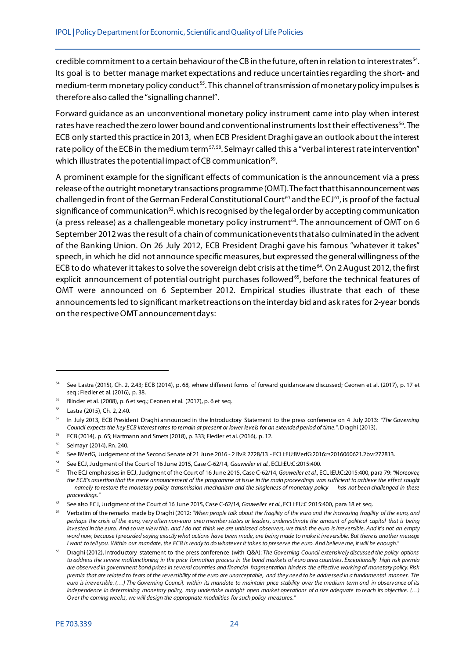credible commitment to a certain behaviour of the CB in the future, often in relation to interest rates[54.](#page-25-0) Its goal is to better manage market expectations and reduce uncertainties regarding the short- and medium-term monetary policy conduct<sup>55</sup>. This channel of transmission of monetary policy impulses is therefore also called the "signalling channel".

Forward guidance as an unconventional monetary policy instrument came into play when interest rates have reached the zero lower bound and conventional instruments lost their effectiveness<sup>[56](#page-25-2)</sup>. The ECB only started this practice in 2013, when ECB President Draghi gave an outlook about the interest rate policy of the ECB in the medium term<sup>[57,](#page-25-3) [58](#page-25-4)</sup>. Selmayr called this a "verbal interest rate intervention" which illustrates the potential impact of CB communication<sup>[59](#page-25-5)</sup>.

A prominent example for the significant effects of communication is the announcement via a press release of the outright monetary transactions programme (OMT). The fact that this announcement was challenged in front of the German Federal Constitutional Court<sup>[60](#page-25-6)</sup> and the ECJ<sup>61</sup>, is proof of the factual significance of communication<sup>62</sup>. which is recognised by the legal order by accepting communication (a press release) as a challengeable monetary policy instrument<sup>[63](#page-25-9)</sup>. The announcement of OMT on 6 September 2012 was the result of a chain of communication events that also culminated in the advent of the Banking Union. On 26 July 2012, ECB President Draghi gave his famous "whatever it takes" speech, in which he did not announce specific measures, but expressed the generalwillingness of the ECB to do whatever it takes to solve the sovereign debt crisis at the time<sup>[64](#page-25-10)</sup>. On 2 August 2012, the first explicit announcement of potential outright purchases followed<sup>[65](#page-25-11)</sup>, before the technical features of OMT were announced on 6 September 2012. Empirical studies illustrate that each of these announcements led to significant market reactions on the interday bid and ask rates for 2-year bonds on the respective OMT announcement days:

<span id="page-25-0"></span><sup>54</sup> See Lastra (2015), Ch. 2, 2.43; ECB (2014), p. 68, where different forms of forward guidance are discussed; Ceonen et al. (2017), p. 17 et seq.; Fiedler et al. (2016), p. 38.

<span id="page-25-1"></span><sup>55</sup> Blinder et al. (2008), p. 6 et seq.; Ceonen et al. (2017), p. 6 et seq.

<span id="page-25-2"></span><sup>56</sup> Lastra (2015), Ch. 2, 2.40.

<span id="page-25-3"></span><sup>57</sup> In July 2013, ECB President Draghi announced in the Introductory Statement to the press conference on 4 July 2013: *"The Governing Council expects the key ECB interest rates to remain at present or lower levels for an extended period of time."*, Draghi (2013).

<span id="page-25-4"></span><sup>58</sup> ECB (2014), p. 65; Hartmann and Smets (2018), p. 333; Fiedler et al. (2016), p. 12.

<span id="page-25-5"></span><sup>59</sup> Selmayr (2014), Rn. 240.

<span id="page-25-6"></span><sup>60</sup> See BVerfG, Judgement of the Second Senate of 21 June 2016 - 2 BvR 2728/13 - ECLI:EU:BVerfG:2016:rs2016060621.2bvr272813.

<span id="page-25-7"></span><sup>61</sup> See ECJ, Judgment of the Court of 16 June 2015, Case C-62/14, *Gauweiler et al.*, ECLI:EU:C:2015:400.

<span id="page-25-8"></span><sup>62</sup> The ECJ emphasises in ECJ, Judgment of the Court of 16 June 2015, Case C-62/14, *Gauweiler et al.*, ECLI:EU:C:2015:400, para 79: *"Moreover, the ECB's assertion that the mere announcement of the programme at issue in the main proceedings was sufficient to achieve the effect sought — namely to restore the monetary policy transmission mechanism and the singleness of monetary policy — has not been challenged in these proceedings."*

<span id="page-25-9"></span><sup>63</sup> See also ECJ, Judgment of the Court of 16 June 2015, Case C-62/14, *Gauweiler et al.*, ECLI:EU:C:2015:400, para 18 et seq.

<span id="page-25-10"></span><sup>64</sup> Verbatim of the remarks made by Draghi (2012: *"When people talk about the fragility of the euro and the increasing fragility of the euro, and perhaps the crisis of the euro, very often non-euro area member states or leaders, underestimate the amount of political capital that is being invested in the euro. And so we view this, and I do not think we are unbiased observers, we think the euro is irreversible. And it's not an empty word now, because I preceded saying exactly what actions have been made, are being made to make it irreversible. But there is another message I want to tell you. Within our mandate, the ECB is ready to do whatever it takes to preserve the euro. And believe me, it will be enough."*

<span id="page-25-11"></span><sup>65</sup> Draghi (2012), Introductory statement to the press conference (with Q&A): *The Governing Council extensively discussed the policy options to address the severe malfunctioning in the price formation process in the bond markets of euro area countries. Exceptionally high risk premia are observed in government bond prices in several countries and financial fragmentation hinders the effective working of monetary policy. Risk premia that are related to fears of the reversibility of the euro are unacceptable, and they need to be addressed in a fundamental manner. The euro is irreversible. (…) The Governing Council, within its mandate to maintain price stability over the medium term and in observance of its independence in determining monetary policy, may undertake outright open market operations of a size adequate to reach its objective. (…) Over the coming weeks, we will design the appropriate modalities for such policy measures."*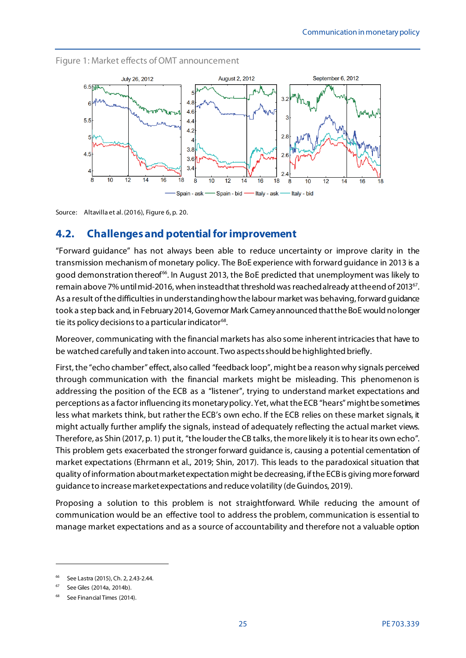<span id="page-26-1"></span>



Source: Altavilla et al. (2016), Figure 6, p. 20.

## <span id="page-26-0"></span>**4.2. Challenges and potential for improvement**

"Forward guidance" has not always been able to reduce uncertainty or improve clarity in the transmission mechanism of monetary policy. The BoE experience with forward guidance in 2013 is a good demonstration thereof<sup>66</sup>. In August 2013, the BoE predicted that unemployment was likely to remain above 7% until mid-2016, when instead that threshold was reached already at the end of 2013<sup>67</sup>. As a result of the difficulties in understanding how the labour market was behaving, forward guidance took a step back and, in February 2014,Governor Mark Carney announced that the BoE would no longer tie its policy decisions to a particular indicator<sup>68</sup>.

Moreover, communicating with the financial markets has also some inherent intricacies that have to be watched carefully and taken into account. Two aspects should be highlighted briefly.

First, the "echo chamber" effect, also called "feedback loop", might be a reason why signals perceived through communication with the financial markets might be misleading. This phenomenon is addressing the position of the ECB as a "listener", trying to understand market expectations and perceptions as a factor influencing its monetary policy. Yet, what the ECB "hears" might be sometimes less what markets think, but rather the ECB's own echo. If the ECB relies on these market signals, it might actually further amplify the signals, instead of adequately reflecting the actual market views. Therefore, as Shin (2017, p. 1) put it, "the louder the CB talks, the more likely it is to hear its own echo". This problem gets exacerbated the stronger forward guidance is, causing a potential cementation of market expectations (Ehrmann et al., 2019; Shin, 2017). This leads to the paradoxical situation that quality of information aboutmarketexpectation might be decreasing, if the ECB is giving more forward guidance to increase market expectations and reduce volatility (de Guindos, 2019).

Proposing a solution to this problem is not straightforward. While reducing the amount of communication would be an effective tool to address the problem, communication is essential to manage market expectations and as a source of accountability and therefore not a valuable option

<span id="page-26-2"></span><sup>66</sup> See Lastra (2015), Ch. 2, 2.43-2.44.

<span id="page-26-3"></span><sup>67</sup> See Giles (2014a, 2014b).

<span id="page-26-4"></span>See Financial Times (2014).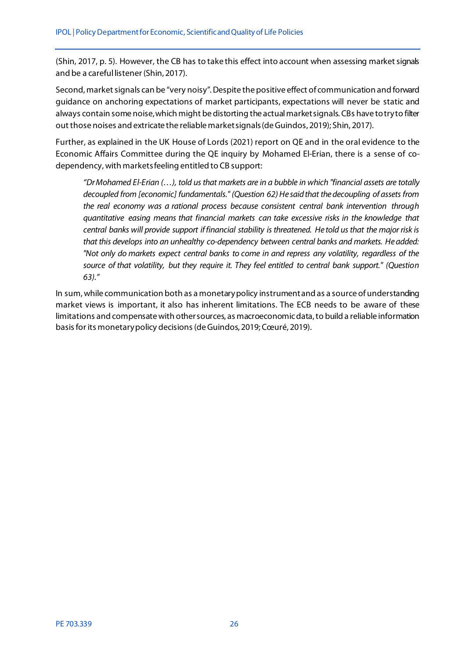(Shin, 2017, p. 5). However, the CB has to take this effect into account when assessing market signals and be a careful listener (Shin, 2017).

Second, market signals can be "very noisy". Despite the positive effect of communication and forward guidance on anchoring expectations of market participants, expectations will never be static and always contain some noise, which might be distorting the actual market signals. CBs have to try to filter out those noises and extricate the reliable market signals(de Guindos, 2019); Shin, 2017).

Further, as explained in the UK House of Lords (2021) report on QE and in the oral evidence to the Economic Affairs Committee during the QE inquiry by Mohamed El-Erian, there is a sense of codependency, with markets feeling entitled to CB support:

*"Dr Mohamed El-Erian (…), told us that markets are in a bubble in which "financial assets are totally*  decoupled from [economic] fundamentals." (Question 62) He said that the decoupling of assets from *the real economy was a rational process because consistent central bank intervention through quantitative easing means that financial markets can take excessive risks in the knowledge that central banks will provide support if financial stability is threatened. He told us that the major risk is that this develops into an unhealthy co-dependency between central banks and markets. He added: "Not only do markets expect central banks to come in and repress any volatility, regardless of the source of that volatility, but they require it. They feel entitled to central bank support." (Question 63)."*

In sum, while communication both as a monetary policy instrument and as a source of understanding market views is important, it also has inherent limitations. The ECB needs to be aware of these limitations and compensate with other sources, as macroeconomic data, to build a reliable information basis for its monetary policy decisions(de Guindos, 2019; Cœuré, 2019).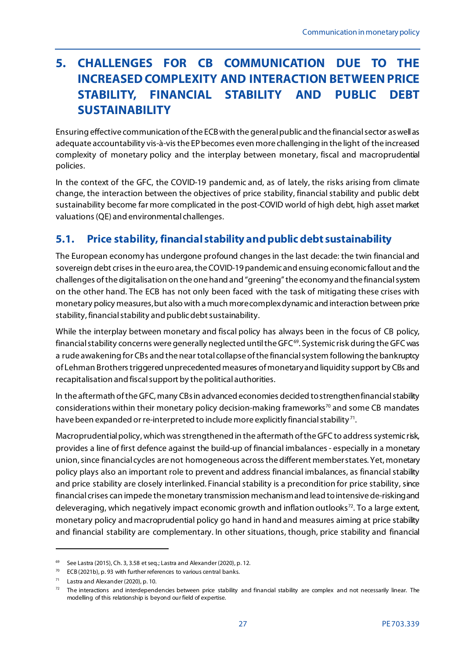# <span id="page-28-0"></span>**5. CHALLENGES FOR CB COMMUNICATION DUE TO THE INCREASED COMPLEXITY AND INTERACTION BETWEENPRICE STABILITY, FINANCIAL STABILITY AND PUBLIC DEBT SUSTAINABILITY**

Ensuring effective communication of the ECB with the general public and the financial sector as well as adequate accountability vis-à-vis the EP becomes even more challenging in the light of the increased complexity of monetary policy and the interplay between monetary, fiscal and macroprudential policies.

In the context of the GFC, the COVID-19 pandemic and, as of lately, the risks arising from climate change, the interaction between the objectives of price stability, financial stability and public debt sustainability become far more complicated in the post-COVID world of high debt, high asset market valuations(QE) and environmental challenges.

# <span id="page-28-1"></span>**5.1. Price stability, financial stability and public debt sustainability**

The European economy has undergone profound changes in the last decade: the twin financial and sovereign debt crises in the euro area, the COVID-19 pandemic and ensuing economic fallout and the challenges of the digitalisation on the one hand and "greening"the economy and the financial system on the other hand. The ECB has not only been faced with the task of mitigating these crises with monetary policy measures, but also with a much more complex dynamic and interaction between price stability, financial stability and public debt sustainability.

While the interplay between monetary and fiscal policy has always been in the focus of CB policy, financial stability concerns were generally neglected until the GFC<sup>69</sup>. Systemic risk during the GFC was a rude awakening for CBs and the near total collapse of the financial system following the bankruptcy of Lehman Brothers triggered unprecedented measures of monetary and liquidity support by CBs and recapitalisation and fiscal support by the political authorities.

In the aftermath of the GFC, many CBsin advanced economies decided to strengthen financial stability considerations within their monetary policy decision-making frameworks<sup>[70](#page-28-3)</sup> and some CB mandates have been expanded or re-interpreted to include more explicitly financial stability<sup>71</sup>.

Macroprudential policy, which was strengthened in the aftermath of the GFC to address systemic risk, provides a line of first defence against the build-up of financial imbalances - especially in a monetary union, since financial cycles are not homogeneous across the different member states. Yet, monetary policy plays also an important role to prevent and address financial imbalances, as financial stability and price stability are closely interlinked. Financial stability is a precondition for price stability, since financial crises can impede the monetary transmission mechanism and lead to intensive de-risking and deleveraging, which negatively impact economic growth and inflation outlooks<sup>[72](#page-28-5)</sup>. To a large extent, monetary policy and macroprudential policy go hand in hand and measures aiming at price stability and financial stability are complementary. In other situations, though, price stability and financial

<span id="page-28-2"></span><sup>69</sup> See Lastra (2015), Ch. 3, 3.58 et seq.; Lastra and Alexander (2020), p. 12.

<span id="page-28-3"></span> $70$  ECB (2021b), p. 93 with further references to various central banks.

<span id="page-28-4"></span> $71$  Lastra and Alexander (2020), p. 10.

<span id="page-28-5"></span> $<sup>72</sup>$  The interactions and interdependencies between price stability and financial stability are complex and not necessarily linear. The</sup> modelling of this relationship is beyond our field of expertise.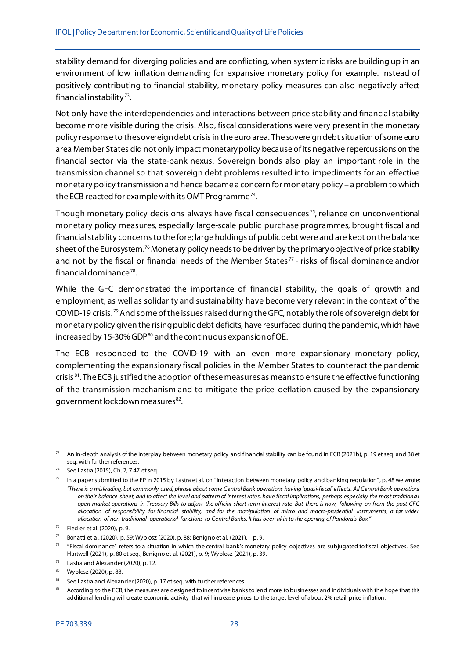stability demand for diverging policies and are conflicting, when systemic risks are building up in an environment of low inflation demanding for expansive monetary policy for example. Instead of positively contributing to financial stability, monetary policy measures can also negatively affect financial instability [73.](#page-29-0)

Not only have the interdependencies and interactions between price stability and financial stability become more visible during the crisis. Also, fiscal considerations were very present in the monetary policy response to the sovereign debt crisis in the euro area. The sovereign debt situation of some euro area Member States did not only impact monetary policy because of its negative repercussions on the financial sector via the state-bank nexus. Sovereign bonds also play an important role in the transmission channel so that sovereign debt problems resulted into impediments for an effective monetary policy transmission and hence became a concern for monetary policy – a problem to which the ECB reacted for example with its OMT Programme<sup>[74](#page-29-1)</sup>.

Though monetary policy decisions always have fiscal consequences<sup>[75](#page-29-2)</sup>, reliance on unconventional monetary policy measures, especially large-scale public purchase programmes, brought fiscal and financial stability concerns to the fore; large holdings of public debt were and are kept on the balance sheet of the Eurosystem.<sup>[76](#page-29-3)</sup> Monetary policy needs to be driven by the primary objective of price stability and not by the fiscal or financial needs of the Member States<sup>[77](#page-29-4)</sup> - risks of fiscal dominance and/or financial dominance $78$ .

While the GFC demonstrated the importance of financial stability, the goals of growth and employment, as well as solidarity and sustainability have become very relevant in the context of the COVID-19 crisis. [79](#page-29-6)And some of the issuesraised during the GFC, notably the role of sovereign debt for monetary policy given the rising public debt deficits, have resurfaced during the pandemic, which have increased by 15-30% GDP $^{80}$  $^{80}$  $^{80}$  and the continuous expansion of QE.

The ECB responded to the COVID-19 with an even more expansionary monetary policy, complementing the expansionary fiscal policies in the Member States to counteract the pandemic crisis<sup>81</sup>. The ECB justified the adoption of these measures as means to ensure the effective functioning of the transmission mechanism and to mitigate the price deflation caused by the expansionary government lockdown measures<sup>[82](#page-29-9)</sup>.

<span id="page-29-0"></span><sup>&</sup>lt;sup>73</sup> An in-depth analysis of the interplay between monetary policy and financial stability can be found in ECB (2021b), p. 19 et seq. and 38 et seq. with further references.

<span id="page-29-1"></span>See Lastra (2015), Ch. 7, 7.47 et seq.

<span id="page-29-2"></span> $75$  In a paper submitted to the EP in 2015 by Lastra et al. on "Interaction between monetary policy and banking regulation", p. 48 we wrote: *"There is a misleading, but commonly used, phrase about some Central Bank operations having 'quasi-fiscal' effects. All Central Bank operations on their balance sheet, and to affect the level and pattern of interest rates, have fiscal implications, perhaps especially the most traditional open market operations in Treasury Bills to adjust the official short-term interest rate. But there is now, following on from the post-GFC allocation of responsibility for financial stability, and for the manipulation of micro and macro-prudential instruments, a far wider allocation of non-traditional operational functions to Central Banks. It has been akin to the opening of Pandora's Box."*

<span id="page-29-3"></span><sup>76</sup> Fiedler et al. (2020), p. 9.

<span id="page-29-4"></span> $77$  Bonatti et al. (2020), p. 59; Wyplosz (2020), p. 88; Benigno et al. (2021), p. 9.

<span id="page-29-5"></span><sup>&</sup>lt;sup>78</sup> "Fiscal dominance" refers to a situation in which the central bank's monetary policy objectives are subjugated to fiscal objectives. See Hartwell (2021), p. 80 et seq.; Benigno et al. (2021), p. 9; Wyplosz (2021), p. 39.

<span id="page-29-6"></span><sup>79</sup> Lastra and Alexander (2020), p. 12.

<span id="page-29-7"></span><sup>80</sup> Wyplosz (2020), p. 88.

<span id="page-29-8"></span> $81$  See Lastra and Alexander (2020), p. 17 et seq. with further references.

<span id="page-29-9"></span><sup>&</sup>lt;sup>82</sup> According to the ECB, the measures are designed to incentivise banks to lend more to businesses and individuals with the hope that this additional lending will create economic activity that will increase prices to the target level of about 2% retail price inflation.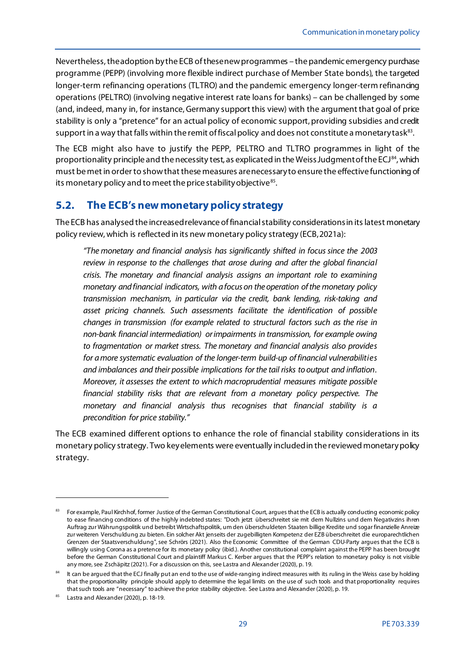Nevertheless, the adoption by the ECB of these new programmes – the pandemic emergency purchase programme (PEPP) (involving more flexible indirect purchase of Member State bonds), the targeted longer-term refinancing operations (TLTRO) and the pandemic emergency longer-term refinancing operations (PELTRO) (involving negative interest rate loans for banks) – can be challenged by some (and, indeed, many in, for instance,Germany support this view) with the argument that goal of price stability is only a "pretence" for an actual policy of economic support, providing subsidies and credit support in a way that falls within the remit of fiscal policy and does not constitute a monetary task<sup>[83](#page-30-1)</sup>.

The ECB might also have to justify the PEPP, PELTRO and TLTRO programmes in light of the proportionality principle and the necessity test, as explicated in the Weiss Judgment of the ECJ $^{84}$  $^{84}$  $^{84}$ , which must be met in order to show that these measures are necessary to ensure the effective functioning of its monetary policy and to meet the price stability objective<sup>[85](#page-30-3)</sup>.

## <span id="page-30-0"></span>**5.2. The ECB's new monetary policy strategy**

The ECB has analysed the increased relevance of financial stability considerations in its latest monetary policy review, which is reflected in its new monetary policy strategy (ECB,2021a):

*"The monetary and financial analysis has significantly shifted in focus since the 2003 review in response to the challenges that arose during and after the global financial crisis. The monetary and financial analysis assigns an important role to examining monetary and financial indicators, with a focus on the operation of the monetary policy transmission mechanism, in particular via the credit, bank lending, risk-taking and asset pricing channels. Such assessments facilitate the identification of possible changes in transmission (for example related to structural factors such as the rise in non-bank financial intermediation) or impairments in transmission, for example owing to fragmentation or market stress. The monetary and financial analysis also provides for a more systematic evaluation of the longer-term build-up of financial vulnerabilities and imbalances and their possible implications for the tail risks to output and inflation. Moreover, it assesses the extent to which macroprudential measures mitigate possible financial stability risks that are relevant from a monetary policy perspective. The monetary and financial analysis thus recognises that financial stability is a precondition for price stability."*

The ECB examined different options to enhance the role of financial stability considerations in its monetary policy strategy. Two key elements were eventually included in the reviewed monetary policy strategy.

<span id="page-30-1"></span><sup>&</sup>lt;sup>83</sup> For example, Paul Kirchhof, former Justice of the German Constitutional Court, argues that the ECB is actually conducting economic policy to ease financing conditions of the highly indebted states: "Doch jetzt überschreitet sie mit dem Nullzins und dem Negativzins ihren Auftrag zur Währungspolitik und betreibt Wirtschaftspolitik, um den überschuldeten Staaten billige Kredite und sogar finanzielle Anreize zur weiteren Verschuldung zu bieten. Ein solcher Akt jenseits der zugebilligten Kompetenz der EZB überschreitet die europarechtlichen Grenzen der Staatsverschuldung", see Schrörs (2021). Also the Economic Committee of the German CDU-Party argues that the ECB is willingly using Corona as a pretence for its monetary policy (ibid.). Another constitutional complaint against the PEPP has been brought before the German Constitutional Court and plaintiff Markus C. Kerber argues that the PEPP's relation to monetary policy is not visible any more, see Zschäpitz (2021). For a discussion on this, see Lastra and Alexander (2020), p. 19.

<span id="page-30-2"></span> $84$  It can be argued that the ECJ finally put an end to the use of wide-ranging indirect measures with its ruling in the Weiss case by holding that the proportionality principle should apply to determine the legal limits on the use of such tools and that proportionality requires that such tools are "necessary" to achieve the price stability objective. See Lastra and Alexander (2020), p. 19.

<span id="page-30-3"></span><sup>85</sup> Lastra and Alexander (2020), p. 18-19.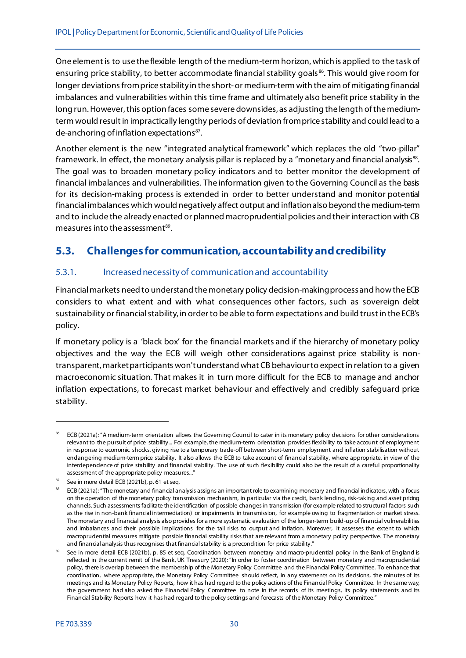One element is to use the flexible length of the medium-term horizon, which is applied to the task of ensuring price stability, to better accommodate financial stability goals<sup>86</sup>. This would give room for longer deviations from price stability in the short-or medium-term with the aim of mitigating financial imbalances and vulnerabilities within this time frame and ultimately also benefit price stability in the long run. However, this option faces some severe downsides, as adjusting the length of the mediumterm would result in impractically lengthy periods of deviation from price stability and could lead to a de-anchoring of inflation expectations<sup>[87](#page-31-3)</sup>.

Another element is the new "integrated analytical framework" which replaces the old "two-pillar" framework. In effect, the monetary analysis pillar is replaced by a "monetary and financial analysis<sup>88</sup>. The goal was to broaden monetary policy indicators and to better monitor the development of financial imbalances and vulnerabilities. The information given to the Governing Council as the basis for its decision-making process is extended in order to better understand and monitor potential financial imbalances which would negatively affect output and inflation also beyond the medium-term and to include the already enacted or planned macroprudential policies and their interaction with CB measures into the assessment $89$ .

# <span id="page-31-0"></span>**5.3. Challenges for communication, accountability and credibility**

## <span id="page-31-1"></span>5.3.1. Increased necessity of communication and accountability

Financial markets need to understand the monetary policy decision-making process and how the ECB considers to what extent and with what consequences other factors, such as sovereign debt sustainability or financial stability, in order to be able to form expectations and build trust in the ECB's policy.

If monetary policy is a 'black box' for the financial markets and if the hierarchy of monetary policy objectives and the way the ECB will weigh other considerations against price stability is nontransparent, market participants won't understand what CB behaviour to expect in relation to a given macroeconomic situation. That makes it in turn more difficult for the ECB to manage and anchor inflation expectations, to forecast market behaviour and effectively and credibly safeguard price stability.

<span id="page-31-2"></span><sup>&</sup>lt;sup>86</sup> ECB (2021a): "A medium-term orientation allows the Governing Council to cater in its monetary policy decisions for other considerations relevant to the pursuit of price stability... For example, the medium-term orientation provides flexibility to take account of employment in response to economic shocks, giving rise to a temporary trade-off between short-term employment and inflation stabilisation without endangering medium-term price stability. It also allows the ECB to take account of financial stability, where appropriate, in view of the interdependence of price stability and financial stability. The use of such flexibility could also be the result of a careful proportionality assessment of the appropriate policy measures..."

<span id="page-31-3"></span> $87$  See in more detail ECB (2021b), p. 61 et seq.

<span id="page-31-4"></span><sup>88</sup> ECB (2021a): "The monetary and financial analysis assigns an important role to examining monetary and financial indicators, with a focus on the operation of the monetary policy transmission mechanism, in particular via the credit, bank lending, risk-taking and asset pricing channels. Such assessments facilitate the identification of possible changes in transmission (for example related to structural factors such as the rise in non-bank financial intermediation) or impairments in transmission, for example owing to fragmentation or market stress. The monetary and financial analysis also provides for a more systematic evaluation of the longer-term build-up of financial vulnerabilities and imbalances and their possible implications for the tail risks to output and inflation. Moreover, it assesses the extent to which macroprudential measures mitigate possible financial stability risks that are relevant from a monetary policy perspective. The monetary and financial analysis thus recognises that financial stability is a precondition for price stability."

<span id="page-31-5"></span>See in more detail ECB (2021b), p. 85 et seq. Coordination between monetary and macro-prudential policy in the Bank of England is reflected in the current remit of the Bank, UK Treasury (2020): "In order to foster coordination between monetary and macroprudential policy, there is overlap between the membership of the Monetary Policy Committee and the Financial Policy Committee. To enhance that coordination, where appropriate, the Monetary Policy Committee should reflect, in any statements on its decisions, the minutes of its meetings and its Monetary Policy Reports, how it has had regard to the policy actions of the Financial Policy Committee. In the same way, the government had also asked the Financial Policy Committee to note in the records of its meetings, its policy statements and its Financial Stability Reports how it has had regard to the policy settings and forecasts of the Monetary Policy Committee."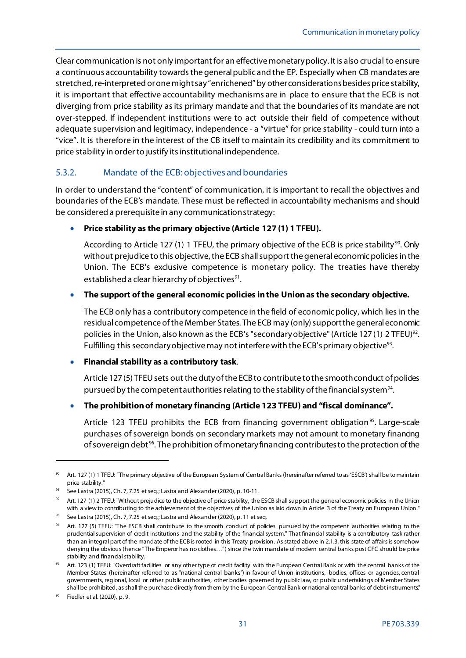Clear communication is not only important for an effective monetary policy. It is also crucial to ensure a continuous accountability towards the general public and the EP. Especially when CB mandates are stretched, re-interpreted or one might say "enrichened" by other considerations besides price stability, it is important that effective accountability mechanisms are in place to ensure that the ECB is not diverging from price stability as its primary mandate and that the boundaries of its mandate are not over-stepped. If independent institutions were to act outside their field of competence without adequate supervision and legitimacy, independence - a "virtue" for price stability - could turn into a "vice". It is therefore in the interest of the CB itself to maintain its credibility and its commitment to price stability in order to justify its institutional independence.

### <span id="page-32-0"></span>5.3.2. Mandate of the ECB: objectives and boundaries

In order to understand the "content" of communication, it is important to recall the objectives and boundaries of the ECB's mandate. These must be reflected in accountability mechanisms and should be considered a prerequisite in any communication strategy:

#### • **Price stability as the primary objective (Article 127 (1) 1 TFEU).**

According to Article 127 (1) 1 TFEU, the primary objective of the ECB is price stability<sup>[90](#page-32-1)</sup>. Only without prejudice to this objective, the ECB shall support the general economic policies in the Union. The ECB's exclusive competence is monetary policy. The treaties have thereby established a clear hierarchy of objectives<sup>[91](#page-32-2)</sup>.

#### • **The support of the general economic policies in the Union as the secondary objective.**

The ECB only has a contributory competence in the field of economic policy, which lies in the residual competence of the Member States. The ECB may (only) support the general economic policies in the Union, also known as the ECB's "secondary objective" (Article 127 (1) 2 TFEU)<sup>92</sup>. Fulfilling this secondary objective may not interfere with the ECB's primary objective<sup>93</sup>.

#### • **Financial stability as a contributory task**.

Article 127 (5) TFEU sets out the duty of the ECB to contribute to the smooth conduct of policies pursued by the competent authorities relating to the stability of the financial system<sup>94</sup>.

#### • **The prohibition of monetary financing (Article 123 TFEU) and "fiscal dominance".**

Article 123 TFEU prohibits the ECB from financing government obligation<sup>[95](#page-32-6)</sup>. Large-scale purchases of sovereign bonds on secondary markets may not amount to monetary financing of sovereign debt<sup>96</sup>. The prohibition of monetary financing contributes to the protection of the

<span id="page-32-1"></span><sup>&</sup>lt;sup>90</sup> Art. 127 (1) 1 TFEU: "The primary objective of the European System of Central Banks (hereinafter referred to as 'ESCB') shall be to maintain price stability."

<span id="page-32-2"></span><sup>&</sup>lt;sup>91</sup> See Lastra (2015), Ch. 7, 7.25 et seq.; Lastra and Alexander (2020), p. 10-11.

<span id="page-32-3"></span><sup>&</sup>lt;sup>92</sup> Art. 127 (1) 2 TFEU: "Without prejudice to the objective of price stability, the ESCB shall support the general economic policies in the Union with a view to contributing to the achievement of the objectives of the Union as laid down in Article 3 of the Treaty on European Union."

<span id="page-32-4"></span><sup>93</sup> See Lastra (2015), Ch. 7, 7.25 et seq.; Lastra and Alexander (2020), p. 11 et seq.

<span id="page-32-5"></span><sup>94</sup> Art. 127 (5) TFEU: "The ESCB shall contribute to the smooth conduct of policies pursued by the competent authorities relating to the prudential supervision of credit institutions and the stability of the financial system." That financial stability is a contributory task rather than an integral part of the mandate of the ECB is rooted in this Treaty provision. As stated above in 2.1.3, this state of affairs is somehow denying the obvious (hence "The Emperor has no clothes…") since the twin mandate of modern central banks post GFC should be price stability and financial stability.

<span id="page-32-6"></span><sup>&</sup>lt;sup>95</sup> Art. 123 (1) TFEU: "Overdraft facilities or any other type of credit facility with the European Central Bank or with the central banks of the Member States (hereinafter referred to as "national central banks") in favour of Union institutions, bodies, offices or agencies, central governments, regional, local or other public authorities, other bodies governed by public law, or public undertakings of Member States shall be prohibited, as shall the purchase directly from them by the European Central Bank or national central banks of debt instruments."

<span id="page-32-7"></span><sup>96</sup> Fiedler et al. (2020), p. 9.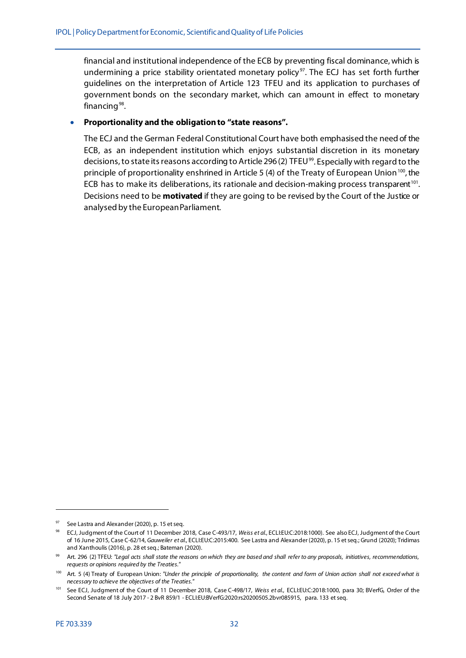financial and institutional independence of the ECB by preventing fiscal dominance, which is undermining a price stability orientated monetary policy<sup>97</sup>. The ECJ has set forth further guidelines on the interpretation of Article 123 TFEU and its application to purchases of government bonds on the secondary market, which can amount in effect to monetary financing<sup>[98](#page-33-1)</sup>.

#### • **Proportionality and the obligation to "state reasons".**

The ECJ and the German Federal Constitutional Court have both emphasised the need of the ECB, as an independent institution which enjoys substantial discretion in its monetary decisions, to state its reasons according to Article 296 (2) TFEU<sup>99</sup>. Especially with regard to the principle of proportionality enshrined in Article 5 (4) of the Treaty of European Union<sup>100</sup>, the ECB has to make its deliberations, its rationale and decision-making process transparent<sup>[101](#page-33-4)</sup>. Decisions need to be **motivated** if they are going to be revised by the Court of the Justice or analysed by the European Parliament.

<span id="page-33-1"></span><span id="page-33-0"></span> $97$  See Lastra and Alexander (2020), p. 15 et seq.

<sup>98</sup> ECJ, Judgment of the Court of 11 December 2018, Case C-493/17, *Weiss et al.*, ECLI:EU:C:2018:1000). See also ECJ, Judgment of the Court of 16 June 2015, Case C-62/14, *Gauweiler et al.*, ECLI:EU:C:2015:400. See Lastra and Alexander (2020), p. 15 et seq.; Grund (2020); Tridimas and Xanthoulis (2016), p. 28 et seq.; Bateman (2020).

<span id="page-33-2"></span><sup>99</sup> Art. 296 (2) TFEU: *"Legal acts shall state the reasons on which they are based and shall refer to any proposals, initiatives, recommendations, requests or opinions required by the Treaties."*

<span id="page-33-3"></span><sup>&</sup>lt;sup>100</sup> Art. 5 (4) Treaty of European Union: "Under the principle of proportionality, the content and form of Union action shall not exceed what is *necessary to achieve the objectives of the Treaties."*

<span id="page-33-4"></span><sup>&</sup>lt;sup>101</sup> See ECJ, Judgment of the Court of 11 December 2018, Case C-498/17, Weiss et al., ECLI:EU:C:2018:1000, para 30; BVerfG, Order of the Second Senate of 18 July 2017 - 2 BvR 859/1 - ECLI:EU:BVerfG:2020:rs20200505.2bvr085915, para. 133 et seq.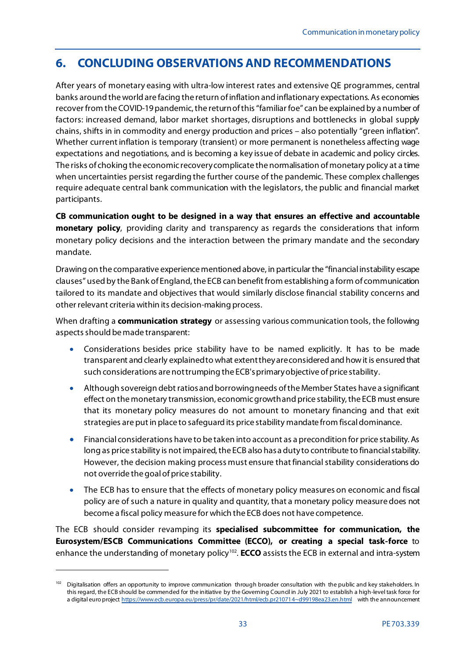# <span id="page-34-0"></span>**6. CONCLUDING OBSERVATIONS AND RECOMMENDATIONS**

After years of monetary easing with ultra-low interest rates and extensive QE programmes, central banks around the world are facing the return of inflation and inflationary expectations. As economies recover from the COVID-19 pandemic, the return of this "familiar foe" can be explained by a number of factors: increased demand, labor market shortages, disruptions and bottlenecks in global supply chains, shifts in in commodity and energy production and prices – also potentially "green inflation". Whether current inflation is temporary (transient) or more permanent is nonetheless affecting wage expectations and negotiations, and is becoming a key issue of debate in academic and policy circles. The risks of choking the economic recovery complicate the normalisation of monetary policy at a time when uncertainties persist regarding the further course of the pandemic. These complex challenges require adequate central bank communication with the legislators, the public and financial market participants.

**CB communication ought to be designed in a way that ensures an effective and accountable monetary policy**, providing clarity and transparency as regards the considerations that inform monetary policy decisions and the interaction between the primary mandate and the secondary mandate.

Drawing on the comparative experience mentioned above, in particular the "financial instability escape clauses" used by the Bank of England, the ECB can benefit from establishing a form of communication tailored to its mandate and objectives that would similarly disclose financial stability concerns and other relevant criteria within its decision-making process.

When drafting a **communication strategy** or assessing various communication tools, the following aspects should be made transparent:

- Considerations besides price stability have to be named explicitly. It has to be made transparent and clearly explainedto what extent they are considered and howit is ensured that such considerations are not trumping the ECB's primary objective of price stability.
- Although sovereign debt ratios and borrowing needs of the Member States have a significant effect on the monetary transmission, economic growthand price stability, the ECB must ensure that its monetary policy measures do not amount to monetary financing and that exit strategies are put in place to safeguard its price stability mandate from fiscal dominance.
- Financial considerations have to be taken into account as a precondition for price stability. As long as price stability is not impaired, the ECB also has a duty to contribute to financial stability. However, the decision making process must ensure that financial stability considerations do not override the goal of price stability.
- The ECB has to ensure that the effects of monetary policy measures on economic and fiscal policy are of such a nature in quality and quantity, that a monetary policy measure does not become a fiscal policy measure for which the ECB does not have competence.

The ECB should consider revamping its **specialised subcommittee for communication, the Eurosystem/ESCB Communications Committee (ECCO), or creating a special task-force** to enhance the understanding of monetary policy<sup>[102](#page-34-1)</sup>. **ECCO** assists the ECB in external and intra-system

.

<span id="page-34-1"></span><sup>&</sup>lt;sup>102</sup> Digitalisation offers an opportunity to improve communication through broader consultation with the public and key stakeholders. In this regard, the ECB should be commended for the initiative by the Governing Council in July 2021 to establish a high-level task force for a digital euro projec[t https://www.ecb.europa.eu/press/pr/date/2021/html/ecb.pr210714~d99198ea23.en.html](https://www.ecb.europa.eu/press/pr/date/2021/html/ecb.pr210714%7Ed99198ea23.en.html) with the announcement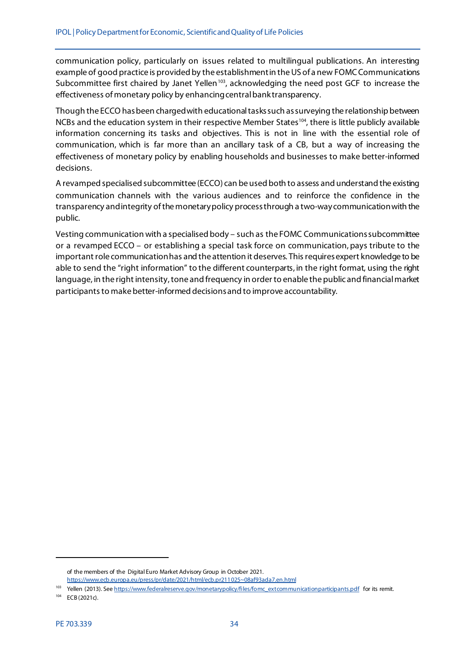communication policy, particularly on issues related to multilingual publications. An interesting example of good practice is provided by the establishment in the US of a new FOMCCommunications Subcommittee first chaired by Janet Yellen<sup>[103](#page-35-0)</sup>, acknowledging the need post GCF to increase the effectiveness of monetary policy by enhancingcentral bank transparency.

Though the ECCO has been charged with educational tasks such as surveying the relationship between NCBs and the education system in their respective Member States<sup>[104](#page-35-1)</sup>, there is little publicly available information concerning its tasks and objectives. This is not in line with the essential role of communication, which is far more than an ancillary task of a CB, but a way of increasing the effectiveness of monetary policy by enabling households and businesses to make better-informed decisions.

A revamped specialised subcommittee (ECCO) can be used both to assess and understand the existing communication channels with the various audiences and to reinforce the confidence in the transparency and integrity of the monetary policy processthrough a two-way communication with the public.

Vesting communication with a specialised body – such as the FOMC Communications subcommittee or a revamped ECCO – or establishing a special task force on communication, pays tribute to the important role communicationhas and the attention it deserves. Thisrequires expert knowledge to be able to send the "right information" to the different counterparts, in the right format, using the right language, in the right intensity, tone and frequency in order to enable the public and financial market participants to make better-informed decisions and to improve accountability.

of the members of the Digital Euro Market Advisory Group in October 2021. [https://www.ecb.europa.eu/press/pr/date/2021/html/ecb.pr211025~08af93ada7.en.html](https://www.ecb.europa.eu/press/pr/date/2021/html/ecb.pr211025%7E08af93ada7.en.html)

<span id="page-35-0"></span><sup>&</sup>lt;sup>103</sup> Yellen (2013). Se[e https://www.federalreserve.gov/monetarypolicy/files/fomc\\_extcommunicationparticipants.pdf](https://www.federalreserve.gov/monetarypolicy/files/fomc_extcommunicationparticipants.pdf) for its remit.

<span id="page-35-1"></span><sup>104</sup> ECB (2021c).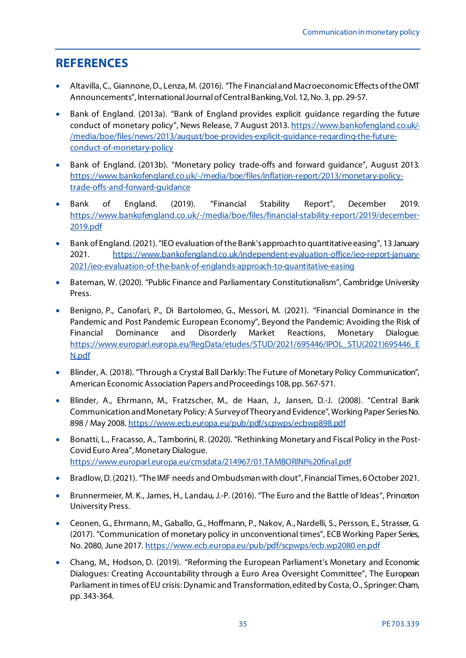# <span id="page-36-0"></span>**REFERENCES**

- Altavilla, C., Giannone, D., Lenza, M. (2016). "The Financial and Macroeconomic Effects of the OMT Announcements", International Journal of Central Banking, Vol. 12, No. 3, pp. 29-57.
- Bank of England. (2013a). "Bank of England provides explicit guidance regarding the future conduct of monetary policy", News Release, 7 August 2013. [https://www.bankofengland.co.uk/-](https://www.bankofengland.co.uk/-/media/boe/files/news/2013/august/boe-provides-explicit-guidance-regarding-the-future-conduct-of-monetary-policy) [/media/boe/files/news/2013/august/boe-provides-explicit-guidance-regarding-the-future](https://www.bankofengland.co.uk/-/media/boe/files/news/2013/august/boe-provides-explicit-guidance-regarding-the-future-conduct-of-monetary-policy)[conduct-of-monetary-policy](https://www.bankofengland.co.uk/-/media/boe/files/news/2013/august/boe-provides-explicit-guidance-regarding-the-future-conduct-of-monetary-policy)
- Bank of England. (2013b). "Monetary policy trade-offs and forward guidance", August 2013. [https://www.bankofengland.co.uk/-/media/boe/files/inflation-report/2013/monetary-policy](https://www.bankofengland.co.uk/-/media/boe/files/inflation-report/2013/monetary-policy-trade-offs-and-forward-guidance)[trade-offs-and-forward-guidance](https://www.bankofengland.co.uk/-/media/boe/files/inflation-report/2013/monetary-policy-trade-offs-and-forward-guidance)
- Bank of England. (2019). "Financial Stability Report", December 2019. [https://www.bankofengland.co.uk/-/media/boe/files/financial-stability-report/2019/december-](https://www.bankofengland.co.uk/-/media/boe/files/financial-stability-report/2019/december-2019.pdf)[2019.pdf](https://www.bankofengland.co.uk/-/media/boe/files/financial-stability-report/2019/december-2019.pdf)
- Bank of England. (2021). "IEO evaluation of the Bank's approach to quantitative easing", 13 January 2021. [https://www.bankofengland.co.uk/independent-evaluation-office/ieo-report-january-](https://www.bankofengland.co.uk/independent-evaluation-office/ieo-report-january-2021/ieo-evaluation-of-the-bank-of-englands-approach-to-quantitative-easing)[2021/ieo-evaluation-of-the-bank-of-englands-approach-to-quantitative-easing](https://www.bankofengland.co.uk/independent-evaluation-office/ieo-report-january-2021/ieo-evaluation-of-the-bank-of-englands-approach-to-quantitative-easing)
- Bateman, W. (2020). "Public Finance and Parliamentary Constitutionalism", Cambridge University Press.
- Benigno, P., Canofari, P., Di Bartolomeo, G., Messori, M. (2021). "Financial Dominance in the Pandemic and Post Pandemic European Economy", Beyond the Pandemic: Avoiding the Risk of Financial Dominance and Disorderly Market Reactions, Monetary Dialogue. [https://www.europarl.europa.eu/RegData/etudes/STUD/2021/695446/IPOL\\_STU\(2021\)695446\\_E](https://www.europarl.europa.eu/RegData/etudes/STUD/2021/695446/IPOL_STU(2021)695446_EN.pdf) [N.pdf](https://www.europarl.europa.eu/RegData/etudes/STUD/2021/695446/IPOL_STU(2021)695446_EN.pdf)
- Blinder, A. (2018). "Through a Crystal Ball Darkly: The Future of Monetary Policy Communication", American Economic Association Papers and Proceedings 108, pp. 567-571.
- Blinder, A., Ehrmann, M., Fratzscher, M., de Haan, J., Jansen, D.-J. (2008). "Central Bank Communication and Monetary Policy: A Survey of Theory and Evidence", Working Paper Series No. 898 / May 2008[. https://www.ecb.europa.eu/pub/pdf/scpwps/ecbwp898.pdf](https://www.ecb.europa.eu/pub/pdf/scpwps/ecbwp898.pdf)
- Bonatti, L., Fracasso, A., Tamborini, R. (2020). "Rethinking Monetary and Fiscal Policy in the Post-Covid Euro Area", Monetary Dialogue. <https://www.europarl.europa.eu/cmsdata/214967/01.TAMBORINI%20final.pdf>
- Bradlow, D. (2021). "The IMF needs and Ombudsman with clout", Financial Times, 6 October 2021.
- Brunnermeier, M. K., James, H., Landau, J.-P. (2016). "The Euro and the Battle of Ideas", Princeton University Press.
- Ceonen, G., Ehrmann, M., Gaballo, G., Hoffmann, P., Nakov, A., Nardelli, S., Persson, E., Strasser, G. (2017). "Communication of monetary policy in unconventional times", ECB Working Paper Series, No. 2080, June 2017[. https://www.ecb.europa.eu/pub/pdf/scpwps/ecb.wp2080.en.pdf](https://www.ecb.europa.eu/pub/pdf/scpwps/ecb.wp2080.en.pdf)
- Chang, M., Hodson, D. (2019). "Reforming the European Parliament's Monetary and Economic Dialogues: Creating Accountability through a Euro Area Oversight Committee", The European Parliament in times of EU crisis: Dynamic and Transformation, edited by Costa, O., Springer: Cham, pp. 343-364.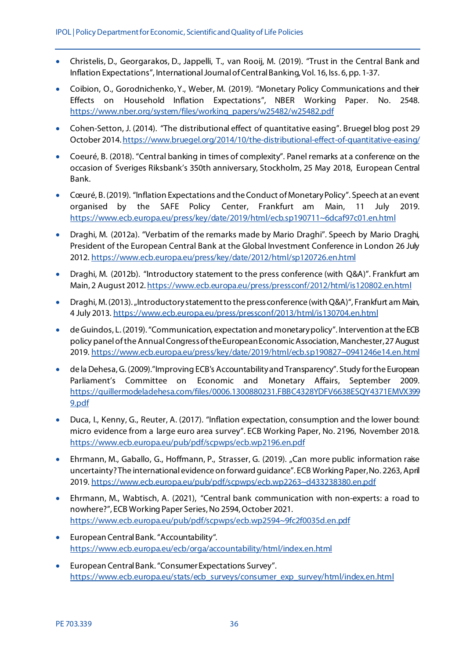- Christelis, D., Georgarakos, D., Jappelli, T., van Rooij, M. (2019). "Trust in the Central Bank and Inflation Expectations", International Journal of Central Banking, Vol. 16, Iss. 6, pp. 1-37.
- Coibion, O., Gorodnichenko, Y., Weber, M. (2019). "Monetary Policy Communications and their Effects on Household Inflation Expectations", NBER Working Paper. No. 2548. [https://www.nber.org/system/files/working\\_papers/w25482/w25482.pdf](https://www.nber.org/system/files/working_papers/w25482/w25482.pdf)
- Cohen-Setton, J. (2014). "The distributional effect of quantitative easing". Bruegel blog post 29 October 2014[. https://www.bruegel.org/2014/10/the-distributional-effect-of-quantitative-easing/](https://www.bruegel.org/2014/10/the-distributional-effect-of-quantitative-easing/)
- Coeuré, B. (2018). "Central banking in times of complexity". Panel remarks at a conference on the occasion of Sveriges Riksbank's 350th anniversary, Stockholm, 25 May 2018, European Central Bank.
- Cœuré, B. (2019). "Inflation Expectations and the Conduct of Monetary Policy". Speech at an event organised by the SAFE Policy Center, Frankfurt am Main, 11 July 2019. [https://www.ecb.europa.eu/press/key/date/2019/html/ecb.sp190711~6dcaf97c01.en.html](https://www.ecb.europa.eu/press/key/date/2019/html/ecb.sp190711%7E6dcaf97c01.en.html)
- Draghi, M. (2012a). "Verbatim of the remarks made by Mario Draghi". Speech by Mario Draghi, President of the European Central Bank at the Global Investment Conference in London 26 July 2012. <https://www.ecb.europa.eu/press/key/date/2012/html/sp120726.en.html>
- Draghi, M. (2012b). "Introductory statement to the press conference (with Q&A)". Frankfurt am Main, 2 August 2012[. https://www.ecb.europa.eu/press/pressconf/2012/html/is120802.en.html](https://www.ecb.europa.eu/press/pressconf/2012/html/is120802.en.html)
- Draghi, M. (2013). "Introductory statement to the press conference (with Q&A)", Frankfurt am Main, 4 July 2013[. https://www.ecb.europa.eu/press/pressconf/2013/html/is130704.en.html](https://www.ecb.europa.eu/press/pressconf/2013/html/is130704.en.html)
- de Guindos, L. (2019). "Communication, expectation and monetary policy". Intervention at the ECB policy panel of the Annual Congress of the European Economic Association, Manchester, 27 August 2019[. https://www.ecb.europa.eu/press/key/date/2019/html/ecb.sp190827~0941246e14.en.html](https://www.ecb.europa.eu/press/key/date/2019/html/ecb.sp190827%7E0941246e14.en.html)
- de la Dehesa, G. (2009)."Improving ECB's Accountability and Transparency". Study for the European Parliament's Committee on Economic and Monetary Affairs, September 2009. [https://guillermodeladehesa.com/files/0006.1300880231.FBBC4328YDFV6638ESQY4371EMVX399](https://guillermodeladehesa.com/files/0006.1300880231.FBBC4328YDFV6638ESQY4371EMVX3999.pdf) [9.pdf](https://guillermodeladehesa.com/files/0006.1300880231.FBBC4328YDFV6638ESQY4371EMVX3999.pdf)
- Duca, I., Kenny, G., Reuter, A. (2017). "Inflation expectation, consumption and the lower bound: micro evidence from a large euro area survey". ECB Working Paper, No. 2196, November 2018. <https://www.ecb.europa.eu/pub/pdf/scpwps/ecb.wp2196.en.pdf>
- Ehrmann, M., Gaballo, G., Hoffmann, P., Strasser, G. (2019). "Can more public information raise uncertainty? The international evidence on forward guidance". ECB Working Paper, No. 2263, April 2019[. https://www.ecb.europa.eu/pub/pdf/scpwps/ecb.wp2263~d433238380.en.pdf](https://www.ecb.europa.eu/pub/pdf/scpwps/ecb.wp2263%7Ed433238380.en.pdf)
- Ehrmann, M., Wabtisch, A. (2021), "Central bank communication with non-experts: a road to nowhere?", ECB Working Paper Series, No 2594, October 2021. [https://www.ecb.europa.eu/pub/pdf/scpwps/ecb.wp2594~9fc2f0035d.en.pdf](https://www.ecb.europa.eu/pub/pdf/scpwps/ecb.wp2594%7E9fc2f0035d.en.pdf)
- European Central Bank. "Accountability". <https://www.ecb.europa.eu/ecb/orga/accountability/html/index.en.html>
- European Central Bank. "Consumer Expectations Survey". [https://www.ecb.europa.eu/stats/ecb\\_surveys/consumer\\_exp\\_survey/html/index.en.html](https://www.ecb.europa.eu/stats/ecb_surveys/consumer_exp_survey/html/index.en.html)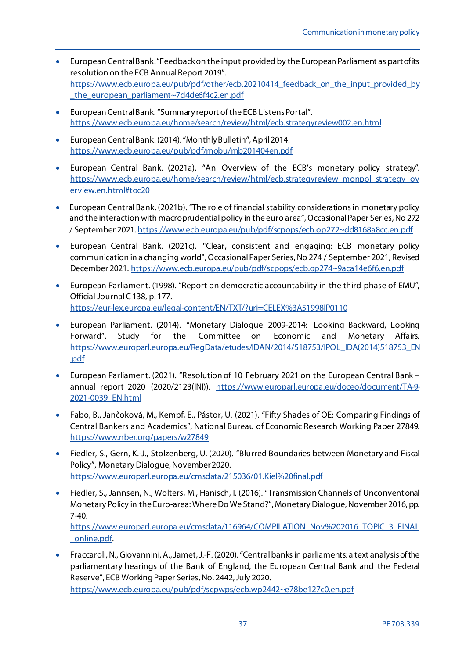- European Central Bank. "Feedback on the input provided by the European Parliament as part of its resolution on the ECB Annual Report 2019". [https://www.ecb.europa.eu/pub/pdf/other/ecb.20210414\\_feedback\\_on\\_the\\_input\\_provided\\_by](https://www.ecb.europa.eu/pub/pdf/other/ecb.20210414_feedback_on_the_input_provided_by_the_european_parliament%7E7d4de6f4c2.en.pdf) the european parliament~7d4de6f4c2.en.pdf
- European Central Bank. "Summary report of the ECB Listens Portal". <https://www.ecb.europa.eu/home/search/review/html/ecb.strategyreview002.en.html>
- European Central Bank. (2014). "Monthly Bulletin", April 2014. <https://www.ecb.europa.eu/pub/pdf/mobu/mb201404en.pdf>
- European Central Bank. (2021a). "An Overview of the ECB's monetary policy strategy". [https://www.ecb.europa.eu/home/search/review/html/ecb.strategyreview\\_monpol\\_strategy\\_ov](https://www.ecb.europa.eu/home/search/review/html/ecb.strategyreview_monpol_strategy_overview.en.html#toc20) [erview.en.html#toc20](https://www.ecb.europa.eu/home/search/review/html/ecb.strategyreview_monpol_strategy_overview.en.html#toc20)
- European Central Bank. (2021b). "The role of financial stability considerations in monetary policy and the interaction with macroprudential policy in the euro area", Occasional Paper Series, No 272 / September 2021[. https://www.ecb.europa.eu/pub/pdf/scpops/ecb.op272~dd8168a8cc.en.pdf](https://www.ecb.europa.eu/pub/pdf/scpops/ecb.op272%7Edd8168a8cc.en.pdf)
- European Central Bank. (2021c). "Clear, consistent and engaging: ECB monetary policy communication in a changing world", Occasional Paper Series, No 274 / September 2021, Revised December 2021[. https://www.ecb.europa.eu/pub/pdf/scpops/ecb.op274~9aca14e6f6.en.pdf](https://www.ecb.europa.eu/pub/pdf/scpops/ecb.op274%7E9aca14e6f6.en.pdf)
- European Parliament. (1998). "Report on democratic accountability in the third phase of EMU", Official Journal C 138, p. 177. <https://eur-lex.europa.eu/legal-content/EN/TXT/?uri=CELEX%3A51998IP0110>
- European Parliament. (2014). "Monetary Dialogue 2009-2014: Looking Backward, Looking Forward". Study for the Committee on Economic and Monetary Affairs. [https://www.europarl.europa.eu/RegData/etudes/IDAN/2014/518753/IPOL\\_IDA\(2014\)518753\\_EN](https://www.europarl.europa.eu/RegData/etudes/IDAN/2014/518753/IPOL_IDA(2014)518753_EN.pdf) [.pdf](https://www.europarl.europa.eu/RegData/etudes/IDAN/2014/518753/IPOL_IDA(2014)518753_EN.pdf)
- European Parliament. (2021). "Resolution of 10 February 2021 on the European Central Bank annual report 2020 (2020/2123(INI)). [https://www.europarl.europa.eu/doceo/document/TA-9-](https://www.europarl.europa.eu/doceo/document/TA-9-2021-0039_EN.html) [2021-0039\\_EN.html](https://www.europarl.europa.eu/doceo/document/TA-9-2021-0039_EN.html)
- Fabo, B., Jančoková, M., Kempf, E., Pástor, U. (2021). "Fifty Shades of QE: Comparing Findings of Central Bankers and Academics", National Bureau of Economic Research Working Paper 27849. <https://www.nber.org/papers/w27849>
- Fiedler, S., Gern, K.-J., Stolzenberg, U. (2020). "Blurred Boundaries between Monetary and Fiscal Policy", Monetary Dialogue, November 2020. <https://www.europarl.europa.eu/cmsdata/215036/01.Kiel%20final.pdf>
- Fiedler, S., Jannsen, N., Wolters, M., Hanisch, I. (2016). "Transmission Channels of Unconventional Monetary Policy in the Euro-area: Where Do We Stand?", Monetary Dialogue, November 2016, pp. 7-40. [https://www.europarl.europa.eu/cmsdata/116964/COMPILATION\\_Nov%202016\\_TOPIC\\_3\\_FINAL](https://www.europarl.europa.eu/cmsdata/116964/COMPILATION_Nov%202016_TOPIC_3_FINAL_online.pdf) [\\_online.pdf.](https://www.europarl.europa.eu/cmsdata/116964/COMPILATION_Nov%202016_TOPIC_3_FINAL_online.pdf)
- Fraccaroli, N., Giovannini, A., Jamet, J.-F. (2020). "Central banks in parliaments: a text analysis of the parliamentary hearings of the Bank of England, the European Central Bank and the Federal Reserve", ECB Working Paper Series, No. 2442, July 2020.

[https://www.ecb.europa.eu/pub/pdf/scpwps/ecb.wp2442~e78be127c0.en.pdf](https://www.ecb.europa.eu/pub/pdf/scpwps/ecb.wp2442%7Ee78be127c0.en.pdf)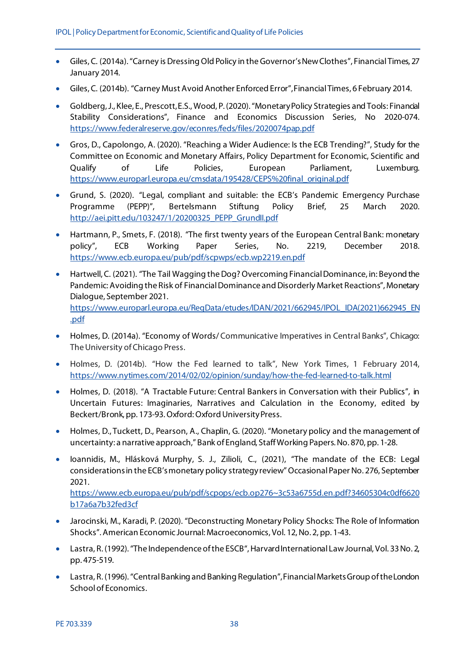- Giles, C. (2014a). "Carney is Dressing Old Policy in the Governor's New Clothes", Financial Times, 27 January 2014.
- Giles, C. (2014b). "Carney Must Avoid Another Enforced Error", Financial Times, 6 February 2014.
- Goldberg, J., Klee, E., Prescott, E.S., Wood, P. (2020). "Monetary Policy Strategies and Tools: Financial Stability Considerations", Finance and Economics Discussion Series, No 2020-074. <https://www.federalreserve.gov/econres/feds/files/2020074pap.pdf>
- Gros, D., Capolongo, A. (2020). "Reaching a Wider Audience: Is the ECB Trending?", Study for the Committee on Economic and Monetary Affairs, Policy Department for Economic, Scientific and Qualify of Life Policies, European Parliament, Luxemburg. [https://www.europarl.europa.eu/cmsdata/195428/CEPS%20final\\_original.pdf](https://www.europarl.europa.eu/cmsdata/195428/CEPS%20final_original.pdf)
- Grund, S. (2020). "Legal, compliant and suitable: the ECB's Pandemic Emergency Purchase Programme (PEPP)", Bertelsmann Stiftung Policy Brief, 25 March 2020. http://aei.pitt.edu/103247/1/20200325\_PEPP\_Grundll.pdf
- Hartmann, P., Smets, F. (2018). "The first twenty years of the European Central Bank: monetary policy", ECB Working Paper Series, No. 2219, December 2018. <https://www.ecb.europa.eu/pub/pdf/scpwps/ecb.wp2219.en.pdf>
- Hartwell, C. (2021). "The Tail Wagging the Dog? Overcoming Financial Dominance, in: Beyond the Pandemic: Avoiding the Risk of Financial Dominance and Disorderly Market Reactions", Monetary Dialogue, September 2021. [https://www.europarl.europa.eu/RegData/etudes/IDAN/2021/662945/IPOL\\_IDA\(2021\)662945\\_EN](https://www.europarl.europa.eu/RegData/etudes/IDAN/2021/662945/IPOL_IDA(2021)662945_EN.pdf) [.pdf](https://www.europarl.europa.eu/RegData/etudes/IDAN/2021/662945/IPOL_IDA(2021)662945_EN.pdf)
- Holmes, D. (2014a). "Economy of Words/ Communicative Imperatives in Central Banks", Chicago: The University of Chicago Press.
- Holmes, D. (2014b). "How the Fed learned to talk", New York Times, 1 February 2014, <https://www.nytimes.com/2014/02/02/opinion/sunday/how-the-fed-learned-to-talk.html>
- Holmes, D. (2018). "A Tractable Future: Central Bankers in Conversation with their Publics", in Uncertain Futures: Imaginaries, Narratives and Calculation in the Economy, edited by Beckert/Bronk, pp. 173-93. Oxford: Oxford University Press.
- Holmes, D., Tuckett, D., Pearson, A., Chaplin, G. (2020). "Monetary policy and the management of uncertainty: a narrative approach," Bank of England, Staff Working Papers. No. 870, pp. 1-28.
- Ioannidis, M., Hlásková Murphy, S. J., Zilioli, C., (2021), "The mandate of the ECB: Legal considerations in the ECB's monetary policy strategy review" Occasional Paper No. 276, September 2021.

[https://www.ecb.europa.eu/pub/pdf/scpops/ecb.op276~3c53a6755d.en.pdf?34605304c0df6620](https://www.ecb.europa.eu/pub/pdf/scpops/ecb.op276%7E3c53a6755d.en.pdf?34605304c0df6620b17a6a7b32fed3cf) [b17a6a7b32fed3cf](https://www.ecb.europa.eu/pub/pdf/scpops/ecb.op276%7E3c53a6755d.en.pdf?34605304c0df6620b17a6a7b32fed3cf)

- Jarocinski, M., Karadi, P. (2020). "Deconstructing Monetary Policy Shocks: The Role of Information Shocks". American Economic Journal: Macroeconomics, Vol. 12, No. 2, pp. 1-43.
- Lastra, R. (1992). "The Independence of the ESCB", Harvard International Law Journal, Vol. 33 No. 2, pp. 475-519.
- Lastra, R. (1996). "Central Banking and Banking Regulation", Financial Markets Group of the London School of Economics.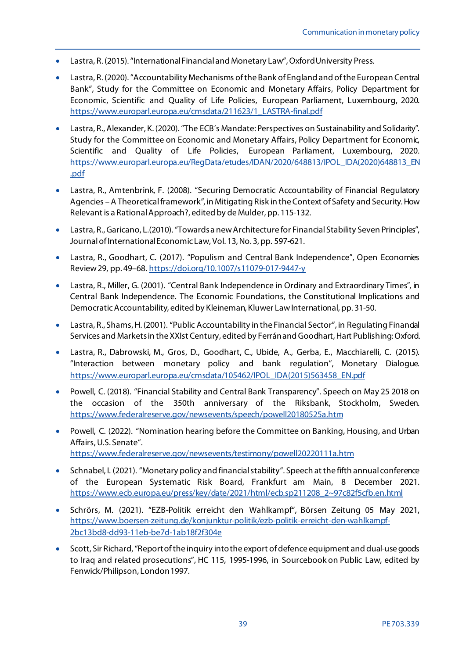- Lastra, R. (2015). "International Financial and Monetary Law", Oxford University Press.
- Lastra, R. (2020). "Accountability Mechanisms of the Bank of England and of the European Central Bank", Study for the Committee on Economic and Monetary Affairs, Policy Department for Economic, Scientific and Quality of Life Policies, European Parliament, Luxembourg, 2020. [https://www.europarl.europa.eu/cmsdata/211623/1\\_LASTRA-final.pdf](https://www.europarl.europa.eu/cmsdata/211623/1_LASTRA-final.pdf)
- Lastra, R., Alexander, K. (2020). "The ECB's Mandate: Perspectives on Sustainability and Solidarity". Study for the Committee on Economic and Monetary Affairs, Policy Department for Economic, Scientific and Quality of Life Policies, European Parliament, Luxembourg, 2020. [https://www.europarl.europa.eu/RegData/etudes/IDAN/2020/648813/IPOL\\_IDA\(2020\)648813\\_EN](https://www.europarl.europa.eu/RegData/etudes/IDAN/2020/648813/IPOL_IDA(2020)648813_EN.pdf) [.pdf](https://www.europarl.europa.eu/RegData/etudes/IDAN/2020/648813/IPOL_IDA(2020)648813_EN.pdf)
- Lastra, R., Amtenbrink, F. (2008). "Securing Democratic Accountability of Financial Regulatory Agencies –A Theoretical framework", in Mitigating Risk in the Context of Safety and Security. How Relevant is a Rational Approach?, edited by de Mulder, pp. 115-132.
- Lastra, R., Garicano, L.(2010). "Towards a new Architecture for Financial Stability Seven Principles", Journal of International Economic Law, Vol. 13, No. 3, pp. 597-621.
- Lastra, R., Goodhart, C. (2017). "Populism and Central Bank Independence", Open Economies Review 29, pp. 49–68.<https://doi.org/10.1007/s11079-017-9447-y>
- Lastra, R., Miller, G. (2001). "Central Bank Independence in Ordinary and Extraordinary Times", in Central Bank Independence. The Economic Foundations, the Constitutional Implications and Democratic Accountability, edited by Kleineman, Kluwer Law International, pp. 31-50.
- Lastra, R., Shams, H. (2001). "Public Accountability in the Financial Sector", in Regulating Financial Services and Markets in the XXIst Century, edited by Ferrán and Goodhart, Hart Publishing: Oxford.
- Lastra, R., Dabrowski, M., Gros, D., Goodhart, C., Ubide, A., Gerba, E., Macchiarelli, C. (2015). "Interaction between monetary policy and bank regulation", Monetary Dialogue. [https://www.europarl.europa.eu/cmsdata/105462/IPOL\\_IDA\(2015\)563458\\_EN.pdf](https://www.europarl.europa.eu/cmsdata/105462/IPOL_IDA(2015)563458_EN.pdf)
- Powell, C. (2018). "Financial Stability and Central Bank Transparency". Speech on May 25 2018 on the occasion of the 350th anniversary of the Riksbank, Stockholm, Sweden. <https://www.federalreserve.gov/newsevents/speech/powell20180525a.htm>
- Powell, C. (2022). "Nomination hearing before the Committee on Banking, Housing, and Urban Affairs, U.S. Senate". <https://www.federalreserve.gov/newsevents/testimony/powell20220111a.htm>
- Schnabel, I. (2021). "Monetary policy and financial stability". Speech at the fifth annual conference of the European Systematic Risk Board, Frankfurt am Main, 8 December 2021. [https://www.ecb.europa.eu/press/key/date/2021/html/ecb.sp211208\\_2~97c82f5cfb.en.html](https://www.ecb.europa.eu/press/key/date/2021/html/ecb.sp211208_2%7E97c82f5cfb.en.html)
- Schrörs, M. (2021). "EZB-Politik erreicht den Wahlkampf", Börsen Zeitung 05 May 2021, [https://www.boersen-zeitung.de/konjunktur-politik/ezb-politik-erreicht-den-wahlkampf-](https://www.boersen-zeitung.de/konjunktur-politik/ezb-politik-erreicht-den-wahlkampf-2bc13bd8-dd93-11eb-be7d-1ab18f2f304e)[2bc13bd8-dd93-11eb-be7d-1ab18f2f304e](https://www.boersen-zeitung.de/konjunktur-politik/ezb-politik-erreicht-den-wahlkampf-2bc13bd8-dd93-11eb-be7d-1ab18f2f304e)
- Scott, Sir Richard, "Report of the inquiry into the export of defence equipment and dual-use goods to Iraq and related prosecutions", HC 115, 1995-1996, in Sourcebook on Public Law, edited by Fenwick/Philipson, London 1997.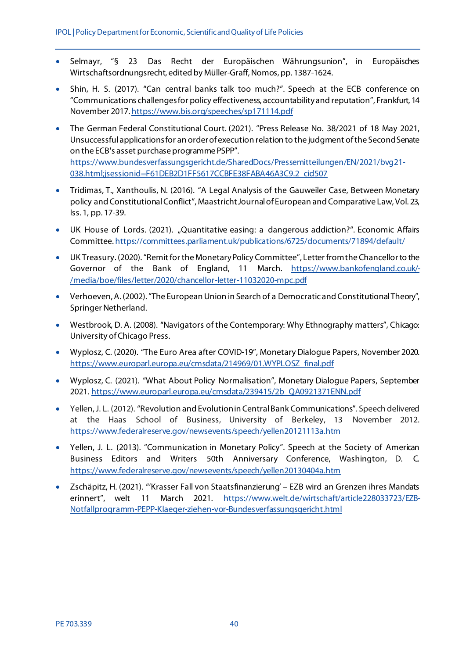- Selmayr, "§ 23 Das Recht der Europäischen Währungsunion", in Europäisches Wirtschaftsordnungsrecht, edited by Müller-Graff, Nomos, pp. 1387-1624.
- Shin, H. S. (2017). "Can central banks talk too much?". Speech at the ECB conference on "Communications challenges for policy effectiveness, accountability and reputation", Frankfurt, 14 November 2017[. https://www.bis.org/speeches/sp171114.pdf](https://www.bis.org/speeches/sp171114.pdf)
- The German Federal Constitutional Court. (2021). "Press Release No. 38/2021 of 18 May 2021, Unsuccessful applications for an order of execution relation to the judgment of the Second Senate on the ECB's asset purchase programme PSPP". [https://www.bundesverfassungsgericht.de/SharedDocs/Pressemitteilungen/EN/2021/bvg21-](https://www.bundesverfassungsgericht.de/SharedDocs/Pressemitteilungen/EN/2021/bvg21-038.html;jsessionid=F61DEB2D1FF5617CCBFE38FABA46A3C9.2_cid507) [038.html;jsessionid=F61DEB2D1FF5617CCBFE38FABA46A3C9.2\\_cid507](https://www.bundesverfassungsgericht.de/SharedDocs/Pressemitteilungen/EN/2021/bvg21-038.html;jsessionid=F61DEB2D1FF5617CCBFE38FABA46A3C9.2_cid507)
- Tridimas, T., Xanthoulis, N. (2016). "A Legal Analysis of the Gauweiler Case, Between Monetary policy and Constitutional Conflict", Maastricht Journal of European and Comparative Law, Vol. 23, Iss. 1, pp. 17-39.
- UK House of Lords. (2021). "Quantitative easing: a dangerous addiction?". Economic Affairs Committe[e. https://committees.parliament.uk/publications/6725/documents/71894/default/](https://committees.parliament.uk/publications/6725/documents/71894/default/)
- UK Treasury. (2020). "Remit for the Monetary Policy Committee", Letter from the Chancellor to the Governor of the Bank of England, 11 March. [https://www.bankofengland.co.uk/-](https://www.bankofengland.co.uk/-/media/boe/files/letter/2020/chancellor-letter-11032020-mpc.pdf) [/media/boe/files/letter/2020/chancellor-letter-11032020-mpc.pdf](https://www.bankofengland.co.uk/-/media/boe/files/letter/2020/chancellor-letter-11032020-mpc.pdf)
- Verhoeven, A. (2002). "The European Union in Search of a Democratic and Constitutional Theory", Springer Netherland.
- Westbrook, D. A. (2008). "Navigators of the Contemporary: Why Ethnography matters", Chicago: University of Chicago Press.
- Wyplosz, C. (2020). "The Euro Area after COVID-19", Monetary Dialogue Papers, November 2020. [https://www.europarl.europa.eu/cmsdata/214969/01.WYPLOSZ\\_final.pdf](https://www.europarl.europa.eu/cmsdata/214969/01.WYPLOSZ_final.pdf)
- Wyplosz, C. (2021). "What About Policy Normalisation", Monetary Dialogue Papers, September 2021[. https://www.europarl.europa.eu/cmsdata/239415/2b\\_QA0921371ENN.pdf](https://www.europarl.europa.eu/cmsdata/239415/2b_QA0921371ENN.pdf)
- Yellen, J. L. (2012). "Revolution and Evolution in Central Bank Communications". Speech delivered at the Haas School of Business, University of Berkeley, 13 November 2012. <https://www.federalreserve.gov/newsevents/speech/yellen20121113a.htm>
- Yellen, J. L. (2013). "Communication in Monetary Policy". Speech at the Society of American Business Editors and Writers 50th Anniversary Conference, Washington, D. C. <https://www.federalreserve.gov/newsevents/speech/yellen20130404a.htm>
- Zschäpitz, H. (2021). "'Krasser Fall von Staatsfinanzierung' EZB wird an Grenzen ihres Mandats erinnert", welt 11 March 2021. [https://www.welt.de/wirtschaft/article228033723/EZB-](https://www.welt.de/wirtschaft/article228033723/EZB-Notfallprogramm-PEPP-Klaeger-ziehen-vor-Bundesverfassungsgericht.html)[Notfallprogramm-PEPP-Klaeger-ziehen-vor-Bundesverfassungsgericht.html](https://www.welt.de/wirtschaft/article228033723/EZB-Notfallprogramm-PEPP-Klaeger-ziehen-vor-Bundesverfassungsgericht.html)